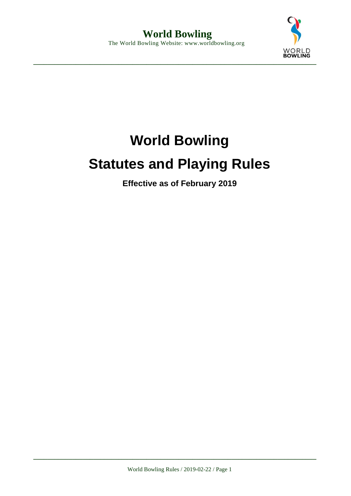

# **World Bowling Statutes and Playing Rules**

**Effective as of February 2019**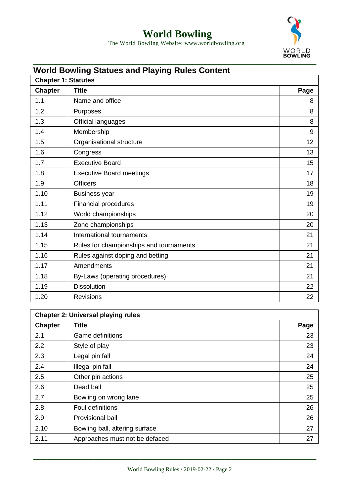

The World Bowling Website: www.worldbowling.org

#### **World Bowling Statues and Playing Rules Content**

| <b>Chapter 1: Statutes</b> |                                         |      |
|----------------------------|-----------------------------------------|------|
| <b>Chapter</b>             | <b>Title</b>                            | Page |
| 1.1                        | Name and office                         | 8    |
| 1.2                        | Purposes                                | 8    |
| 1.3                        | Official languages                      | 8    |
| 1.4                        | Membership                              | 9    |
| 1.5                        | Organisational structure                | 12   |
| 1.6                        | Congress                                | 13   |
| 1.7                        | <b>Executive Board</b>                  | 15   |
| 1.8                        | <b>Executive Board meetings</b>         | 17   |
| 1.9                        | <b>Officers</b>                         | 18   |
| 1.10                       | <b>Business year</b>                    | 19   |
| 1.11                       | <b>Financial procedures</b>             | 19   |
| 1.12                       | World championships                     | 20   |
| 1.13                       | Zone championships                      | 20   |
| 1.14                       | International tournaments               | 21   |
| 1.15                       | Rules for championships and tournaments | 21   |
| 1.16                       | Rules against doping and betting        | 21   |
| 1.17                       | Amendments                              | 21   |
| 1.18                       | By-Laws (operating procedures)          | 21   |
| 1.19                       | <b>Dissolution</b>                      | 22   |
| 1.20                       | <b>Revisions</b>                        | 22   |

| <b>Chapter 2: Universal playing rules</b> |                                |      |
|-------------------------------------------|--------------------------------|------|
| <b>Chapter</b>                            | Title                          | Page |
| 2.1                                       | Game definitions               | 23   |
| 2.2                                       | Style of play                  | 23   |
| 2.3                                       | Legal pin fall                 | 24   |
| 2.4                                       | Illegal pin fall               | 24   |
| 2.5                                       | Other pin actions              | 25   |
| 2.6                                       | Dead ball                      | 25   |
| 2.7                                       | Bowling on wrong lane          | 25   |
| 2.8                                       | <b>Foul definitions</b>        | 26   |
| 2.9                                       | Provisional ball               | 26   |
| 2.10                                      | Bowling ball, altering surface | 27   |
| 2.11                                      | Approaches must not be defaced | 27   |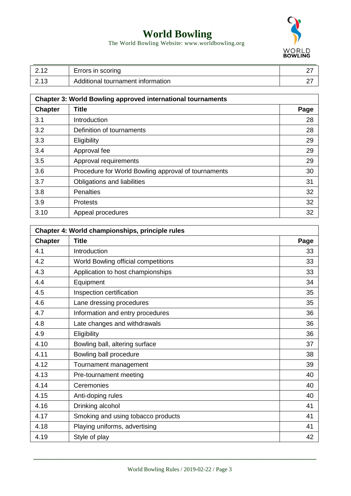

The World Bowling Website: www.worldbowling.org

| $\Omega$ 10 | Errors in scoring                 |  |
|-------------|-----------------------------------|--|
| 2.13        | Additional tournament information |  |

| <b>Chapter 3: World Bowling approved international tournaments</b> |                                                     |      |
|--------------------------------------------------------------------|-----------------------------------------------------|------|
| <b>Chapter</b>                                                     | <b>Title</b>                                        | Page |
| 3.1                                                                | Introduction                                        | 28   |
| 3.2                                                                | Definition of tournaments                           | 28   |
| 3.3                                                                | Eligibility                                         | 29   |
| 3.4                                                                | Approval fee                                        | 29   |
| 3.5                                                                | Approval requirements                               | 29   |
| 3.6                                                                | Procedure for World Bowling approval of tournaments | 30   |
| 3.7                                                                | Obligations and liabilities                         | 31   |
| 3.8                                                                | <b>Penalties</b>                                    | 32   |
| 3.9                                                                | <b>Protests</b>                                     | 32   |
| 3.10                                                               | Appeal procedures                                   | 32   |

| Chapter 4: World championships, principle rules |                                     |      |
|-------------------------------------------------|-------------------------------------|------|
| <b>Chapter</b>                                  | <b>Title</b>                        | Page |
| 4.1                                             | Introduction                        | 33   |
| 4.2                                             | World Bowling official competitions | 33   |
| 4.3                                             | Application to host championships   | 33   |
| 4.4                                             | Equipment                           | 34   |
| 4.5                                             | Inspection certification            | 35   |
| 4.6                                             | Lane dressing procedures            | 35   |
| 4.7                                             | Information and entry procedures    | 36   |
| 4.8                                             | Late changes and withdrawals        | 36   |
| 4.9                                             | Eligibility                         | 36   |
| 4.10                                            | Bowling ball, altering surface      | 37   |
| 4.11                                            | Bowling ball procedure              | 38   |
| 4.12                                            | Tournament management               | 39   |
| 4.13                                            | Pre-tournament meeting              | 40   |
| 4.14                                            | Ceremonies                          | 40   |
| 4.15                                            | Anti-doping rules                   | 40   |
| 4.16                                            | Drinking alcohol                    | 41   |
| 4.17                                            | Smoking and using tobacco products  | 41   |
| 4.18                                            | Playing uniforms, advertising       | 41   |
| 4.19                                            | Style of play                       | 42   |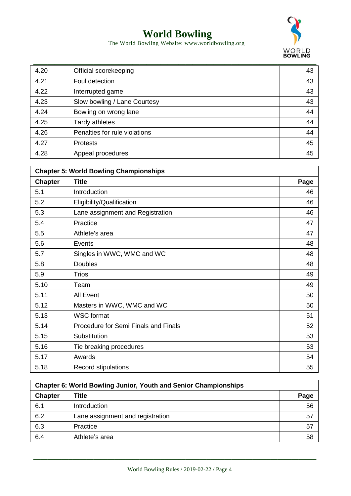

The World Bowling Website: www.worldbowling.org

| 4.20 | Official scorekeeping         | 43 |
|------|-------------------------------|----|
| 4.21 | Foul detection                | 43 |
| 4.22 | Interrupted game              | 43 |
| 4.23 | Slow bowling / Lane Courtesy  | 43 |
| 4.24 | Bowling on wrong lane         | 44 |
| 4.25 | Tardy athletes                | 44 |
| 4.26 | Penalties for rule violations | 44 |
| 4.27 | <b>Protests</b>               | 45 |
| 4.28 | Appeal procedures             | 45 |

| <b>Chapter 5: World Bowling Championships</b> |                                      |      |
|-----------------------------------------------|--------------------------------------|------|
| <b>Chapter</b>                                | <b>Title</b>                         | Page |
| 5.1                                           | Introduction                         | 46   |
| 5.2                                           | Eligibility/Qualification            | 46   |
| 5.3                                           | Lane assignment and Registration     | 46   |
| 5.4                                           | Practice                             | 47   |
| 5.5                                           | Athlete's area                       | 47   |
| 5.6                                           | Events                               | 48   |
| 5.7                                           | Singles in WWC, WMC and WC           | 48   |
| 5.8                                           | <b>Doubles</b>                       | 48   |
| 5.9                                           | <b>Trios</b>                         | 49   |
| 5.10                                          | Team                                 | 49   |
| 5.11                                          | <b>All Event</b>                     | 50   |
| 5.12                                          | Masters in WWC, WMC and WC           | 50   |
| 5.13                                          | <b>WSC</b> format                    | 51   |
| 5.14                                          | Procedure for Semi Finals and Finals | 52   |
| 5.15                                          | Substitution                         | 53   |
| 5.16                                          | Tie breaking procedures              | 53   |
| 5.17                                          | Awards                               | 54   |
| 5.18                                          | Record stipulations                  | 55   |

| Chapter 6: World Bowling Junior, Youth and Senior Championships |                                  |      |
|-----------------------------------------------------------------|----------------------------------|------|
| <b>Chapter</b>                                                  | Title                            | Page |
| 6.1                                                             | Introduction                     | 56   |
| 6.2                                                             | Lane assignment and registration | 57   |
| 6.3                                                             | Practice                         | 57   |
| 6.4                                                             | Athlete's area                   | 58   |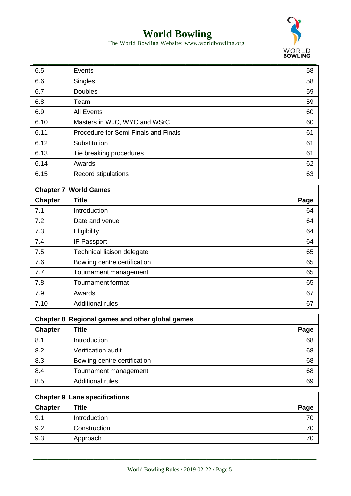

The World Bowling Website: www.worldbowling.org

| 6.5  | Events                               | 58 |
|------|--------------------------------------|----|
| 6.6  | <b>Singles</b>                       | 58 |
| 6.7  | <b>Doubles</b>                       | 59 |
| 6.8  | Team                                 | 59 |
| 6.9  | <b>All Events</b>                    | 60 |
| 6.10 | Masters in WJC, WYC and WSrC         | 60 |
| 6.11 | Procedure for Semi Finals and Finals | 61 |
| 6.12 | Substitution                         | 61 |
| 6.13 | Tie breaking procedures              | 61 |
| 6.14 | Awards                               | 62 |
| 6.15 | Record stipulations                  | 63 |

| <b>Chapter 7: World Games</b> |                              |      |
|-------------------------------|------------------------------|------|
| <b>Chapter</b>                | <b>Title</b>                 | Page |
| 7.1                           | Introduction                 | 64   |
| 7.2                           | Date and venue               | 64   |
| 7.3                           | Eligibility                  | 64   |
| 7.4                           | IF Passport                  | 64   |
| 7.5                           | Technical liaison delegate   | 65   |
| 7.6                           | Bowling centre certification | 65   |
| 7.7                           | Tournament management        | 65   |
| 7.8                           | <b>Tournament format</b>     | 65   |
| 7.9                           | Awards                       | 67   |
| 7.10                          | <b>Additional rules</b>      | 67   |

| Chapter 8: Regional games and other global games |                              |      |
|--------------------------------------------------|------------------------------|------|
| <b>Chapter</b>                                   | Title                        | Page |
| 8.1                                              | Introduction                 | 68   |
| 8.2                                              | Verification audit           | 68   |
| 8.3                                              | Bowling centre certification | 68   |
| 8.4                                              | Tournament management        | 68   |
| 8.5                                              | <b>Additional rules</b>      | 69   |

| <b>Chapter 9: Lane specifications</b> |              |      |
|---------------------------------------|--------------|------|
| <b>Chapter</b>                        | <b>Title</b> | Page |
| 9.1                                   | Introduction | 70   |
| 9.2                                   | Construction | 70   |
| 9.3                                   | Approach     | 70   |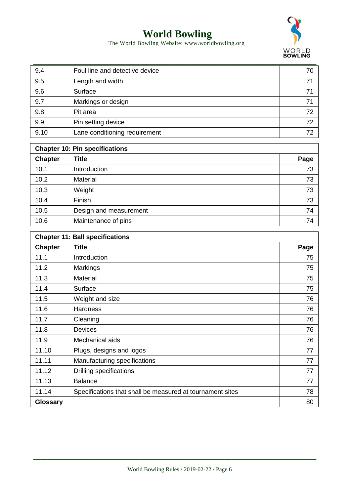

The World Bowling Website: www.worldbowling.org

| 9.4  | Foul line and detective device | 70 |
|------|--------------------------------|----|
| 9.5  | Length and width               | 71 |
| 9.6  | Surface                        | 71 |
| 9.7  | Markings or design             | 71 |
| 9.8  | Pit area                       | 72 |
| 9.9  | Pin setting device             | 72 |
| 9.10 | Lane conditioning requirement  | 72 |

| <b>Chapter 10: Pin specifications</b> |                        |      |  |  |
|---------------------------------------|------------------------|------|--|--|
| <b>Chapter</b>                        | <b>Title</b>           | Page |  |  |
| 10.1                                  | Introduction           | 73   |  |  |
| 10.2                                  | <b>Material</b>        | 73   |  |  |
| 10.3                                  | Weight                 | 73   |  |  |
| 10.4                                  | Finish                 | 73   |  |  |
| 10.5                                  | Design and measurement | 74   |  |  |
| 10.6                                  | Maintenance of pins    | 74   |  |  |

| <b>Chapter 11: Ball specifications</b> |                                                           |      |  |  |  |
|----------------------------------------|-----------------------------------------------------------|------|--|--|--|
| <b>Chapter</b>                         | <b>Title</b>                                              | Page |  |  |  |
| 11.1                                   | Introduction                                              | 75   |  |  |  |
| 11.2                                   | <b>Markings</b>                                           | 75   |  |  |  |
| 11.3                                   | <b>Material</b>                                           | 75   |  |  |  |
| 11.4                                   | Surface                                                   | 75   |  |  |  |
| 11.5                                   | Weight and size                                           | 76   |  |  |  |
| 11.6                                   | <b>Hardness</b>                                           | 76   |  |  |  |
| 11.7                                   | Cleaning                                                  | 76   |  |  |  |
| 11.8                                   | <b>Devices</b>                                            | 76   |  |  |  |
| 11.9                                   | Mechanical aids                                           | 76   |  |  |  |
| 11.10                                  | Plugs, designs and logos                                  | 77   |  |  |  |
| 11.11                                  | Manufacturing specifications                              | 77   |  |  |  |
| 11.12                                  | Drilling specifications                                   | 77   |  |  |  |
| 11.13                                  | <b>Balance</b>                                            | 77   |  |  |  |
| 11.14                                  | Specifications that shall be measured at tournament sites | 78   |  |  |  |
| <b>Glossary</b>                        |                                                           | 80   |  |  |  |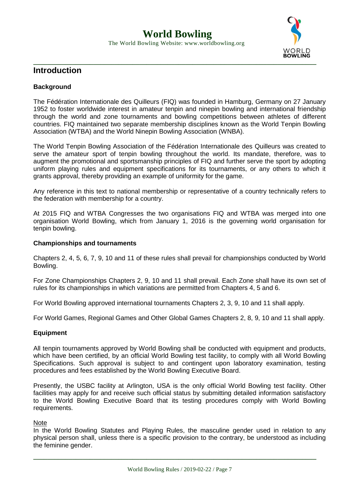

#### **Introduction**

#### **Background**

The Fédération Internationale des Quilleurs (FIQ) was founded in Hamburg, Germany on 27 January 1952 to foster worldwide interest in amateur tenpin and ninepin bowling and international friendship through the world and zone tournaments and bowling competitions between athletes of different countries. FIQ maintained two separate membership disciplines known as the World Tenpin Bowling Association (WTBA) and the World Ninepin Bowling Association (WNBA).

The World Tenpin Bowling Association of the Fédération Internationale des Quilleurs was created to serve the amateur sport of tenpin bowling throughout the world. Its mandate, therefore, was to augment the promotional and sportsmanship principles of FIQ and further serve the sport by adopting uniform playing rules and equipment specifications for its tournaments, or any others to which it grants approval, thereby providing an example of uniformity for the game.

Any reference in this text to national membership or representative of a country technically refers to the federation with membership for a country.

At 2015 FIQ and WTBA Congresses the two organisations FIQ and WTBA was merged into one organisation World Bowling, which from January 1, 2016 is the governing world organisation for tenpin bowling.

#### **Championships and tournaments**

Chapters 2, 4, 5, 6, 7, 9, 10 and 11 of these rules shall prevail for championships conducted by World Bowling.

For Zone Championships Chapters 2, 9, 10 and 11 shall prevail. Each Zone shall have its own set of rules for its championships in which variations are permitted from Chapters 4, 5 and 6.

For World Bowling approved international tournaments Chapters 2, 3, 9, 10 and 11 shall apply.

For World Games, Regional Games and Other Global Games Chapters 2, 8, 9, 10 and 11 shall apply.

#### **Equipment**

All tenpin tournaments approved by World Bowling shall be conducted with equipment and products, which have been certified, by an official World Bowling test facility, to comply with all World Bowling Specifications. Such approval is subject to and contingent upon laboratory examination, testing procedures and fees established by the World Bowling Executive Board.

Presently, the USBC facility at Arlington, USA is the only official World Bowling test facility. Other facilities may apply for and receive such official status by submitting detailed information satisfactory to the World Bowling Executive Board that its testing procedures comply with World Bowling requirements.

#### Note

In the World Bowling Statutes and Playing Rules, the masculine gender used in relation to any physical person shall, unless there is a specific provision to the contrary, be understood as including the feminine gender.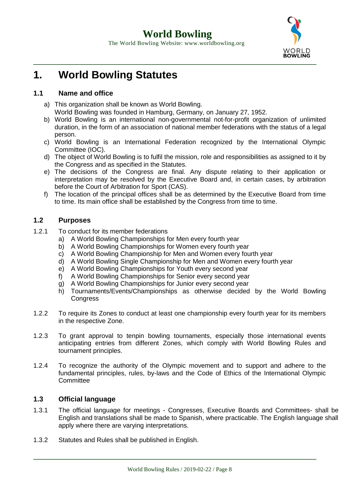

### **1. World Bowling Statutes**

#### **1.1 Name and office**

- a) This organization shall be known as World Bowling. World Bowling was founded in Hamburg, Germany, on January 27, 1952.
- b) World Bowling is an international non-governmental not-for-profit organization of unlimited duration, in the form of an association of national member federations with the status of a legal person.
- c) World Bowling is an International Federation recognized by the International Olympic Committee (IOC).
- d) The object of World Bowling is to fulfil the mission, role and responsibilities as assigned to it by the Congress and as specified in the Statutes.
- e) The decisions of the Congress are final. Any dispute relating to their application or interpretation may be resolved by the Executive Board and, in certain cases, by arbitration before the Court of Arbitration for Sport (CAS).
- f) The location of the principal offices shall be as determined by the Executive Board from time to time. Its main office shall be established by the Congress from time to time.

#### **1.2 Purposes**

- 1.2.1 To conduct for its member federations
	- a) A World Bowling Championships for Men every fourth year
	- b) A World Bowling Championships for Women every fourth year
	- c) A World Bowling Championship for Men and Women every fourth year
	- d) A World Bowling Single Championship for Men and Women every fourth year
	- e) A World Bowling Championships for Youth every second year
	- f) A World Bowling Championships for Senior every second year
	- g) A World Bowling Championships for Junior every second year
	- h) Tournaments/Events/Championships as otherwise decided by the World Bowling **Congress**
- 1.2.2 To require its Zones to conduct at least one championship every fourth year for its members in the respective Zone.
- 1.2.3 To grant approval to tenpin bowling tournaments, especially those international events anticipating entries from different Zones, which comply with World Bowling Rules and tournament principles.
- 1.2.4 To recognize the authority of the Olympic movement and to support and adhere to the fundamental principles, rules, by-laws and the Code of Ethics of the International Olympic **Committee**

#### **1.3 Official language**

- 1.3.1 The official language for meetings Congresses, Executive Boards and Committees- shall be English and translations shall be made to Spanish, where practicable. The English language shall apply where there are varying interpretations.
- 1.3.2 Statutes and Rules shall be published in English.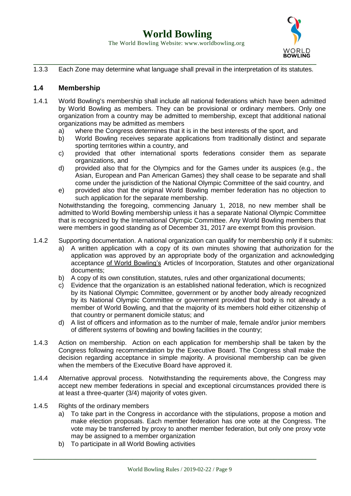

1.3.3 Each Zone may determine what language shall prevail in the interpretation of its statutes.

#### **1.4 Membership**

- 1.4.1 World Bowling's membership shall include all national federations which have been admitted by World Bowling as members. They can be provisional or ordinary members. Only one organization from a country may be admitted to membership, except that additional national organizations may be admitted as members
	- a) where the Congress determines that it is in the best interests of the sport, and
	- b) World Bowling receives separate applications from traditionally distinct and separate sporting territories within a country, and
	- c) provided that other international sports federations consider them as separate organizations, and
	- d) provided also that for the Olympics and for the Games under its auspices (e.g., the Asian, European and Pan American Games) they shall cease to be separate and shall come under the jurisdiction of the National Olympic Committee of the said country, and
	- e) provided also that the original World Bowling member federation has no objection to such application for the separate membership.

Notwithstanding the foregoing, commencing January 1, 2018, no new member shall be admitted to World Bowling membership unless it has a separate National Olympic Committee that is recognized by the International Olympic Committee. Any World Bowling members that were members in good standing as of December 31, 2017 are exempt from this provision.

- 1.4.2 Supporting documentation. A national organization can qualify for membership only if it submits:
	- a) A written application with a copy of its own minutes showing that authorization for the application was approved by an appropriate body of the organization and acknowledging acceptance of World Bowling's Articles of Incorporation, Statutes and other organizational documents;
	- b) A copy of its own constitution, statutes, rules and other organizational documents;
	- c) Evidence that the organization is an established national federation, which is recognized by its National Olympic Committee, government or by another body already recognized by its National Olympic Committee or government provided that body is not already a member of World Bowling, and that the majority of its members hold either citizenship of that country or permanent domicile status; and
	- d) A list of officers and information as to the number of male, female and/or junior members of different systems of bowling and bowling facilities in the country;
- 1.4.3 Action on membership. Action on each application for membership shall be taken by the Congress following recommendation by the Executive Board. The Congress shall make the decision regarding acceptance in simple majority. A provisional membership can be given when the members of the Executive Board have approved it.
- 1.4.4 Alternative approval process. Notwithstanding the requirements above, the Congress may accept new member federations in special and exceptional circumstances provided there is at least a three-quarter (3/4) majority of votes given.
- 1.4.5 Rights of the ordinary members
	- a) To take part in the Congress in accordance with the stipulations, propose a motion and make election proposals. Each member federation has one vote at the Congress. The vote may be transferred by proxy to another member federation, but only one proxy vote may be assigned to a member organization
	- b) To participate in all World Bowling activities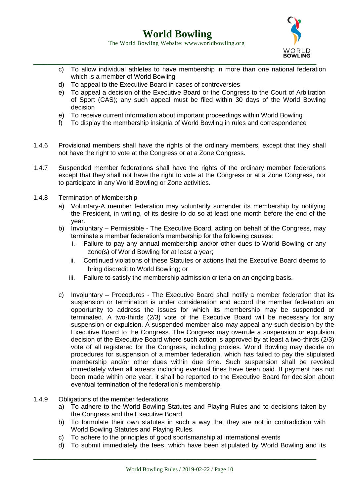

- The World Bowling Website: www.worldbowling.org
- **\_\_\_\_\_\_\_\_\_\_\_\_\_\_\_\_\_\_\_\_\_\_\_\_\_\_\_\_\_\_\_\_\_\_\_\_\_\_\_\_\_\_\_\_\_\_\_\_\_\_\_\_\_\_\_\_\_\_\_\_\_\_\_\_\_\_\_\_\_\_\_\_\_\_\_\_\_\_\_\_** c) To allow individual athletes to have membership in more than one national federation which is a member of World Bowling
	- d) To appeal to the Executive Board in cases of controversies
	- e) To appeal a decision of the Executive Board or the Congress to the Court of Arbitration of Sport (CAS); any such appeal must be filed within 30 days of the World Bowling decision
	- e) To receive current information about important proceedings within World Bowling
	- f) To display the membership insignia of World Bowling in rules and correspondence
- 1.4.6 Provisional members shall have the rights of the ordinary members, except that they shall not have the right to vote at the Congress or at a Zone Congress.
- 1.4.7 Suspended member federations shall have the rights of the ordinary member federations except that they shall not have the right to vote at the Congress or at a Zone Congress, nor to participate in any World Bowling or Zone activities.
- 1.4.8 Termination of Membership
	- a) Voluntary-A member federation may voluntarily surrender its membership by notifying the President, in writing, of its desire to do so at least one month before the end of the year.
	- b) Involuntary Permissible The Executive Board, acting on behalf of the Congress, may terminate a member federation's membership for the following causes:
		- i. Failure to pay any annual membership and/or other dues to World Bowling or any zone(s) of World Bowling for at least a year;
		- ii. Continued violations of these Statutes or actions that the Executive Board deems to bring discredit to World Bowling; or
		- iii. Failure to satisfy the membership admission criteria on an ongoing basis.
	- c) Involuntary Procedures The Executive Board shall notify a member federation that its suspension or termination is under consideration and accord the member federation an opportunity to address the issues for which its membership may be suspended or terminated. A two-thirds (2/3) vote of the Executive Board will be necessary for any suspension or expulsion. A suspended member also may appeal any such decision by the Executive Board to the Congress. The Congress may overrule a suspension or expulsion decision of the Executive Board where such action is approved by at least a two-thirds (2/3) vote of all registered for the Congress, including proxies. World Bowling may decide on procedures for suspension of a member federation, which has failed to pay the stipulated membership and/or other dues within due time. Such suspension shall be revoked immediately when all arrears including eventual fines have been paid. If payment has not been made within one year, it shall be reported to the Executive Board for decision about eventual termination of the federation's membership.
- 1.4.9 Obligations of the member federations
	- a) To adhere to the World Bowling Statutes and Playing Rules and to decisions taken by the Congress and the Executive Board
	- b) To formulate their own statutes in such a way that they are not in contradiction with World Bowling Statutes and Playing Rules.
	- c) To adhere to the principles of good sportsmanship at international events
	- d) To submit immediately the fees, which have been stipulated by World Bowling and its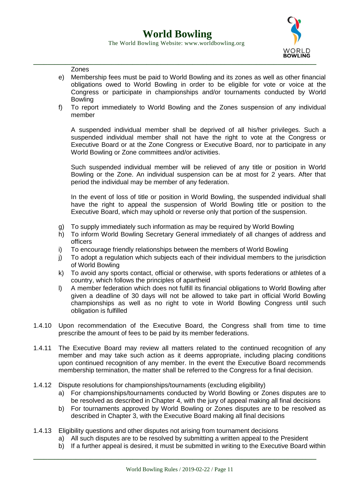

Zones

- e) Membership fees must be paid to World Bowling and its zones as well as other financial obligations owed to World Bowling in order to be eligible for vote or voice at the Congress or participate in championships and/or tournaments conducted by World Bowling
- f) To report immediately to World Bowling and the Zones suspension of any individual member

A suspended individual member shall be deprived of all his/her privileges. Such a suspended individual member shall not have the right to vote at the Congress or Executive Board or at the Zone Congress or Executive Board, nor to participate in any World Bowling or Zone committees and/or activities.

Such suspended individual member will be relieved of any title or position in World Bowling or the Zone. An individual suspension can be at most for 2 years. After that period the individual may be member of any federation.

In the event of loss of title or position in World Bowling, the suspended individual shall have the right to appeal the suspension of World Bowling title or position to the Executive Board, which may uphold or reverse only that portion of the suspension.

- g) To supply immediately such information as may be required by World Bowling
- h) To inform World Bowling Secretary General immediately of all changes of address and officers
- i) To encourage friendly relationships between the members of World Bowling
- j) To adopt a regulation which subjects each of their individual members to the jurisdiction of World Bowling
- k) To avoid any sports contact, official or otherwise, with sports federations or athletes of a country, which follows the principles of apartheid
- l) A member federation which does not fulfill its financial obligations to World Bowling after given a deadline of 30 days will not be allowed to take part in official World Bowling championships as well as no right to vote in World Bowling Congress until such obligation is fulfilled
- 1.4.10 Upon recommendation of the Executive Board, the Congress shall from time to time prescribe the amount of fees to be paid by its member federations.
- 1.4.11 The Executive Board may review all matters related to the continued recognition of any member and may take such action as it deems appropriate, including placing conditions upon continued recognition of any member. In the event the Executive Board recommends membership termination, the matter shall be referred to the Congress for a final decision.
- 1.4.12 Dispute resolutions for championships/tournaments (excluding eligibility)
	- a) For championships/tournaments conducted by World Bowling or Zones disputes are to be resolved as described in Chapter 4, with the jury of appeal making all final decisions
	- b) For tournaments approved by World Bowling or Zones disputes are to be resolved as described in Chapter 3, with the Executive Board making all final decisions
- 1.4.13 Eligibility questions and other disputes not arising from tournament decisions
	- a) All such disputes are to be resolved by submitting a written appeal to the President
	- b) If a further appeal is desired, it must be submitted in writing to the Executive Board within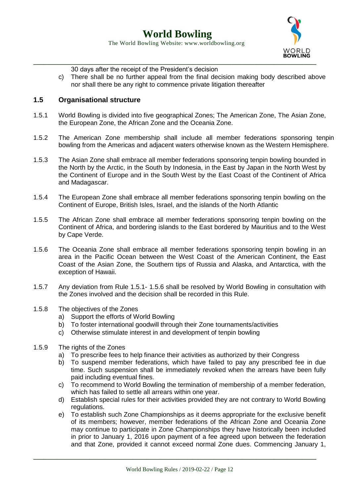

30 days after the receipt of the President's decision

c) There shall be no further appeal from the final decision making body described above nor shall there be any right to commence private litigation thereafter

#### **1.5 Organisational structure**

- 1.5.1 World Bowling is divided into five geographical Zones; The American Zone, The Asian Zone, the European Zone, the African Zone and the Oceania Zone.
- 1.5.2 The American Zone membership shall include all member federations sponsoring tenpin bowling from the Americas and adjacent waters otherwise known as the Western Hemisphere.
- 1.5.3 The Asian Zone shall embrace all member federations sponsoring tenpin bowling bounded in the North by the Arctic, in the South by Indonesia, in the East by Japan in the North West by the Continent of Europe and in the South West by the East Coast of the Continent of Africa and Madagascar.
- 1.5.4 The European Zone shall embrace all member federations sponsoring tenpin bowling on the Continent of Europe, British Isles, Israel, and the islands of the North Atlantic
- 1.5.5 The African Zone shall embrace all member federations sponsoring tenpin bowling on the Continent of Africa, and bordering islands to the East bordered by Mauritius and to the West by Cape Verde.
- 1.5.6 The Oceania Zone shall embrace all member federations sponsoring tenpin bowling in an area in the Pacific Ocean between the West Coast of the American Continent, the East Coast of the Asian Zone, the Southern tips of Russia and Alaska, and Antarctica, with the exception of Hawaii.
- 1.5.7 Any deviation from Rule 1.5.1- 1.5.6 shall be resolved by World Bowling in consultation with the Zones involved and the decision shall be recorded in this Rule.
- 1.5.8 The objectives of the Zones
	- a) Support the efforts of World Bowling
	- b) To foster international goodwill through their Zone tournaments/activities
	- c) Otherwise stimulate interest in and development of tenpin bowling
- 1.5.9 The rights of the Zones
	- a) To prescribe fees to help finance their activities as authorized by their Congress
	- b) To suspend member federations, which have failed to pay any prescribed fee in due time. Such suspension shall be immediately revoked when the arrears have been fully paid including eventual fines.
	- c) To recommend to World Bowling the termination of membership of a member federation, which has failed to settle all arrears within one year.
	- d) Establish special rules for their activities provided they are not contrary to World Bowling regulations.
	- e) To establish such Zone Championships as it deems appropriate for the exclusive benefit of its members; however, member federations of the African Zone and Oceania Zone may continue to participate in Zone Championships they have historically been included in prior to January 1, 2016 upon payment of a fee agreed upon between the federation and that Zone, provided it cannot exceed normal Zone dues. Commencing January 1,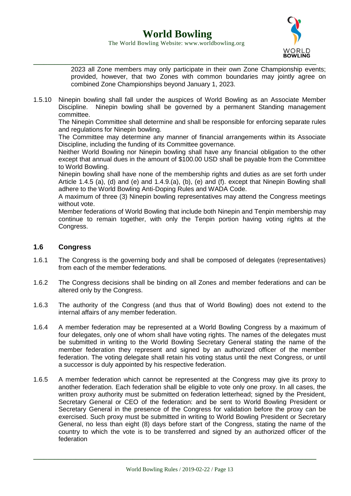

2023 all Zone members may only participate in their own Zone Championship events; provided, however, that two Zones with common boundaries may jointly agree on combined Zone Championships beyond January 1, 2023.

1.5.10 Ninepin bowling shall fall under the auspices of World Bowling as an Associate Member Discipline. Ninepin bowling shall be governed by a permanent Standing management committee.

The Ninepin Committee shall determine and shall be responsible for enforcing separate rules and regulations for Ninepin bowling.

The Committee may determine any manner of financial arrangements within its Associate Discipline, including the funding of its Committee governance.

Neither World Bowling nor Ninepin bowling shall have any financial obligation to the other except that annual dues in the amount of \$100.00 USD shall be payable from the Committee to World Bowling.

Ninepin bowling shall have none of the membership rights and duties as are set forth under Article 1.4.5 (a), (d) and (e) and 1.4.9.(a), (b), (e) and (f). except that Ninepin Bowling shall adhere to the World Bowling Anti-Doping Rules and WADA Code.

A maximum of three (3) Ninepin bowling representatives may attend the Congress meetings without vote.

Member federations of World Bowling that include both Ninepin and Tenpin membership may continue to remain together, with only the Tenpin portion having voting rights at the Congress.

#### **1.6 Congress**

- 1.6.1 The Congress is the governing body and shall be composed of delegates (representatives) from each of the member federations.
- 1.6.2 The Congress decisions shall be binding on all Zones and member federations and can be altered only by the Congress.
- 1.6.3 The authority of the Congress (and thus that of World Bowling) does not extend to the internal affairs of any member federation.
- 1.6.4 A member federation may be represented at a World Bowling Congress by a maximum of four delegates, only one of whom shall have voting rights. The names of the delegates must be submitted in writing to the World Bowling Secretary General stating the name of the member federation they represent and signed by an authorized officer of the member federation. The voting delegate shall retain his voting status until the next Congress, or until a successor is duly appointed by his respective federation.
- 1.6.5 A member federation which cannot be represented at the Congress may give its proxy to another federation. Each federation shall be eligible to vote only one proxy. In all cases, the written proxy authority must be submitted on federation letterhead; signed by the President, Secretary General or CEO of the federation: and be sent to World Bowling President or Secretary General in the presence of the Congress for validation before the proxy can be exercised. Such proxy must be submitted in writing to World Bowling President or Secretary General, no less than eight (8) days before start of the Congress, stating the name of the country to which the vote is to be transferred and signed by an authorized officer of the federation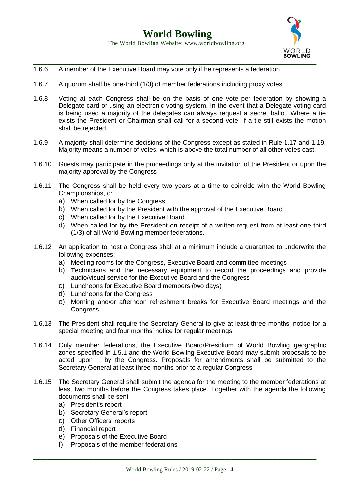

- 1.6.6 A member of the Executive Board may vote only if he represents a federation
- 1.6.7 A quorum shall be one-third (1/3) of member federations including proxy votes
- 1.6.8 Voting at each Congress shall be on the basis of one vote per federation by showing a Delegate card or using an electronic voting system. In the event that a Delegate voting card is being used a majority of the delegates can always request a secret ballot. Where a tie exists the President or Chairman shall call for a second vote. If a tie still exists the motion shall be rejected.
- 1.6.9 A majority shall determine decisions of the Congress except as stated in Rule 1.17 and 1.19. Majority means a number of votes, which is above the total number of all other votes cast.
- 1.6.10 Guests may participate in the proceedings only at the invitation of the President or upon the majority approval by the Congress
- 1.6.11 The Congress shall be held every two years at a time to coincide with the World Bowling Championships, or
	- a) When called for by the Congress.
	- b) When called for by the President with the approval of the Executive Board.
	- c) When called for by the Executive Board.
	- d) When called for by the President on receipt of a written request from at least one-third (1/3) of all World Bowling member federations.
- 1.6.12 An application to host a Congress shall at a minimum include a guarantee to underwrite the following expenses:
	- a) Meeting rooms for the Congress, Executive Board and committee meetings
	- b) Technicians and the necessary equipment to record the proceedings and provide audio/visual service for the Executive Board and the Congress
	- c) Luncheons for Executive Board members (two days)
	- d) Luncheons for the Congress
	- e) Morning and/or afternoon refreshment breaks for Executive Board meetings and the **Congress**
- 1.6.13 The President shall require the Secretary General to give at least three months' notice for a special meeting and four months' notice for regular meetings
- 1.6.14 Only member federations, the Executive Board/Presidium of World Bowling geographic zones specified in 1.5.1 and the World Bowling Executive Board may submit proposals to be acted upon by the Congress. Proposals for amendments shall be submitted to the Secretary General at least three months prior to a regular Congress
- 1.6.15 The Secretary General shall submit the agenda for the meeting to the member federations at least two months before the Congress takes place. Together with the agenda the following documents shall be sent
	- a) President's report
	- b) Secretary General's report
	- c) Other Officers' reports
	- d) Financial report
	- e) Proposals of the Executive Board
	- f) Proposals of the member federations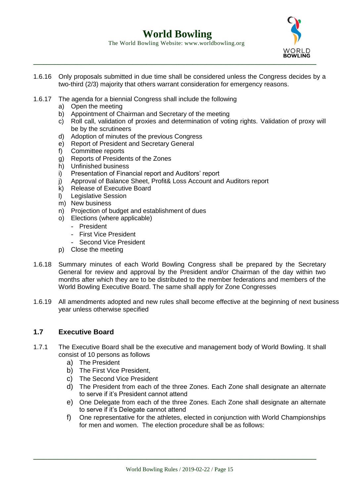



- 1.6.16 Only proposals submitted in due time shall be considered unless the Congress decides by a two-third (2/3) majority that others warrant consideration for emergency reasons.
- 1.6.17 The agenda for a biennial Congress shall include the following
	- a) Open the meeting
	- b) Appointment of Chairman and Secretary of the meeting
	- c) Roll call, validation of proxies and determination of voting rights. Validation of proxy will be by the scrutineers
	- d) Adoption of minutes of the previous Congress
	- e) Report of President and Secretary General
	- f) Committee reports
	- g) Reports of Presidents of the Zones
	- h) Unfinished business
	- i) Presentation of Financial report and Auditors' report
	- j) Approval of Balance Sheet, Profit& Loss Account and Auditors report
	- k) Release of Executive Board
	- l) Legislative Session
	- m) New business
	- n) Projection of budget and establishment of dues
	- o) Elections (where applicable)
		- President
		- First Vice President
		- Second Vice President
	- p) Close the meeting
- 1.6.18 Summary minutes of each World Bowling Congress shall be prepared by the Secretary General for review and approval by the President and/or Chairman of the day within two months after which they are to be distributed to the member federations and members of the World Bowling Executive Board. The same shall apply for Zone Congresses
- 1.6.19 All amendments adopted and new rules shall become effective at the beginning of next business year unless otherwise specified

#### **1.7 Executive Board**

- 1.7.1 The Executive Board shall be the executive and management body of World Bowling. It shall consist of 10 persons as follows
	- a) The President
	- b) The First Vice President,
	- c) The Second Vice President
	- d) The President from each of the three Zones. Each Zone shall designate an alternate to serve if it's President cannot attend
	- e) One Delegate from each of the three Zones. Each Zone shall designate an alternate to serve if it's Delegate cannot attend
	- f) One representative for the athletes, elected in conjunction with World Championships for men and women. The election procedure shall be as follows: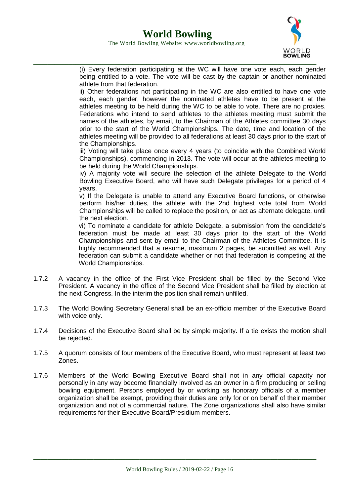

(i) Every federation participating at the WC will have one vote each, each gender being entitled to a vote. The vote will be cast by the captain or another nominated athlete from that federation.

ii) Other federations not participating in the WC are also entitled to have one vote each, each gender, however the nominated athletes have to be present at the athletes meeting to be held during the WC to be able to vote. There are no proxies. Federations who intend to send athletes to the athletes meeting must submit the names of the athletes, by email, to the Chairman of the Athletes committee 30 days prior to the start of the World Championships. The date, time and location of the athletes meeting will be provided to all federations at least 30 days prior to the start of the Championships.

iii) Voting will take place once every 4 years (to coincide with the Combined World Championships), commencing in 2013. The vote will occur at the athletes meeting to be held during the World Championships.

iv) A majority vote will secure the selection of the athlete Delegate to the World Bowling Executive Board, who will have such Delegate privileges for a period of 4 years.

v) If the Delegate is unable to attend any Executive Board functions, or otherwise perform his/her duties, the athlete with the 2nd highest vote total from World Championships will be called to replace the position, or act as alternate delegate, until the next election.

vi) To nominate a candidate for athlete Delegate, a submission from the candidate's federation must be made at least 30 days prior to the start of the World Championships and sent by email to the Chairman of the Athletes Committee. It is highly recommended that a resume, maximum 2 pages, be submitted as well. Any federation can submit a candidate whether or not that federation is competing at the World Championships.

- 1.7.2 A vacancy in the office of the First Vice President shall be filled by the Second Vice President. A vacancy in the office of the Second Vice President shall be filled by election at the next Congress. In the interim the position shall remain unfilled.
- 1.7.3 The World Bowling Secretary General shall be an ex-officio member of the Executive Board with voice only.
- 1.7.4 Decisions of the Executive Board shall be by simple majority. If a tie exists the motion shall be rejected.
- 1.7.5 A quorum consists of four members of the Executive Board, who must represent at least two Zones.
- 1.7.6 Members of the World Bowling Executive Board shall not in any official capacity nor personally in any way become financially involved as an owner in a firm producing or selling bowling equipment. Persons employed by or working as honorary officials of a member organization shall be exempt, providing their duties are only for or on behalf of their member organization and not of a commercial nature. The Zone organizations shall also have similar requirements for their Executive Board/Presidium members.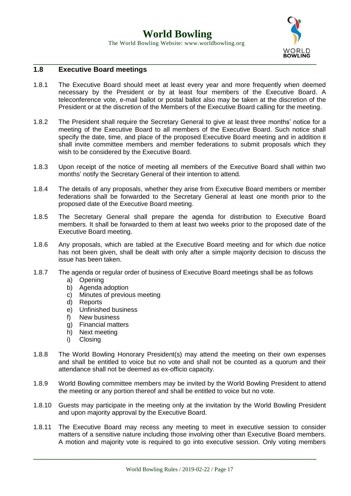

#### **1.8 Executive Board meetings**

- 1.8.1 The Executive Board should meet at least every year and more frequently when deemed necessary by the President or by at least four members of the Executive Board. A teleconference vote, e-mail ballot or postal ballot also may be taken at the discretion of the President or at the discretion of the Members of the Executive Board calling for the meeting.
- 1.8.2 The President shall require the Secretary General to give at least three months' notice for a meeting of the Executive Board to all members of the Executive Board. Such notice shall specify the date, time, and place of the proposed Executive Board meeting and in addition it shall invite committee members and member federations to submit proposals which they wish to be considered by the Executive Board.
- 1.8.3 Upon receipt of the notice of meeting all members of the Executive Board shall within two months' notify the Secretary General of their intention to attend.
- 1.8.4 The details of any proposals, whether they arise from Executive Board members or member federations shall be forwarded to the Secretary General at least one month prior to the proposed date of the Executive Board meeting.
- 1.8.5 The Secretary General shall prepare the agenda for distribution to Executive Board members. It shall be forwarded to them at least two weeks prior to the proposed date of the Executive Board meeting.
- 1.8.6 Any proposals, which are tabled at the Executive Board meeting and for which due notice has not been given, shall be dealt with only after a simple majority decision to discuss the issue has been taken.
- 1.8.7 The agenda or regular order of business of Executive Board meetings shall be as follows
	- a) Opening
	- b) Agenda adoption
	- c) Minutes of previous meeting
	- d) Reports
	- e) Unfinished business
	- f) New business
	- g) Financial matters
	- h) Next meeting
	- i) Closing
- 1.8.8 The World Bowling Honorary President(s) may attend the meeting on their own expenses and shall be entitled to voice but no vote and shall not be counted as a quorum and their attendance shall not be deemed as ex-officio capacity.
- 1.8.9 World Bowling committee members may be invited by the World Bowling President to attend the meeting or any portion thereof and shall be entitled to voice but no vote.
- 1.8.10 Guests may participate in the meeting only at the invitation by the World Bowling President and upon majority approval by the Executive Board.
- 1.8.11 The Executive Board may recess any meeting to meet in executive session to consider matters of a sensitive nature including those involving other than Executive Board members. A motion and majority vote is required to go into executive session. Only voting members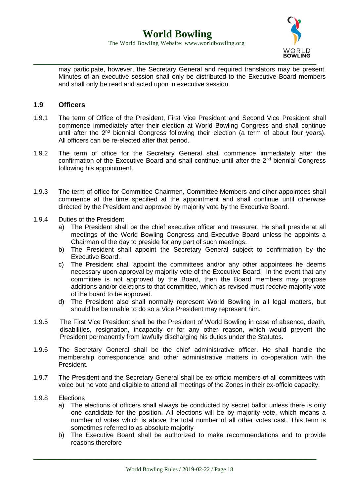

may participate, however, the Secretary General and required translators may be present. Minutes of an executive session shall only be distributed to the Executive Board members and shall only be read and acted upon in executive session.

#### **1.9 Officers**

- 1.9.1 The term of Office of the President, First Vice President and Second Vice President shall commence immediately after their election at World Bowling Congress and shall continue until after the  $2<sup>nd</sup>$  biennial Congress following their election (a term of about four years). All officers can be re-elected after that period.
- 1.9.2 The term of office for the Secretary General shall commence immediately after the confirmation of the Executive Board and shall continue until after the  $2<sup>nd</sup>$  biennial Congress following his appointment.
- 1.9.3 The term of office for Committee Chairmen, Committee Members and other appointees shall commence at the time specified at the appointment and shall continue until otherwise directed by the President and approved by majority vote by the Executive Board.
- 1.9.4 Duties of the President
	- a) The President shall be the chief executive officer and treasurer. He shall preside at all meetings of the World Bowling Congress and Executive Board unless he appoints a Chairman of the day to preside for any part of such meetings.
	- b) The President shall appoint the Secretary General subject to confirmation by the Executive Board.
	- c) The President shall appoint the committees and/or any other appointees he deems necessary upon approval by majority vote of the Executive Board. In the event that any committee is not approved by the Board, then the Board members may propose additions and/or deletions to that committee, which as revised must receive majority vote of the board to be approved.
	- d) The President also shall normally represent World Bowling in all legal matters, but should he be unable to do so a Vice President may represent him.
- 1.9.5 The First Vice President shall be the President of World Bowling in case of absence, death, disabilities, resignation, incapacity or for any other reason, which would prevent the President permanently from lawfully discharging his duties under the Statutes.
- 1.9.6 The Secretary General shall be the chief administrative officer. He shall handle the membership correspondence and other administrative matters in co-operation with the President.
- 1.9.7 The President and the Secretary General shall be ex-officio members of all committees with voice but no vote and eligible to attend all meetings of the Zones in their ex-officio capacity.
- 1.9.8 Elections
	- a) The elections of officers shall always be conducted by secret ballot unless there is only one candidate for the position. All elections will be by majority vote, which means a number of votes which is above the total number of all other votes cast. This term is sometimes referred to as absolute majority
	- b) The Executive Board shall be authorized to make recommendations and to provide reasons therefore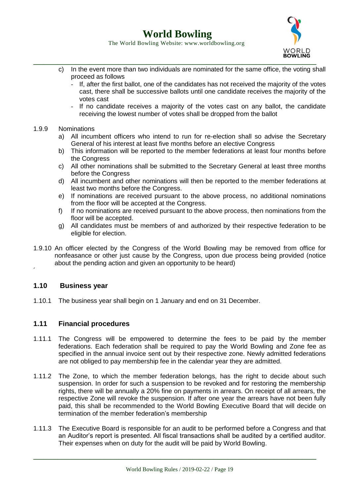The World Bowling Website: www.worldbowling.org



- c) In the event more than two individuals are nominated for the same office, the voting shall proceed as follows
	- If, after the first ballot, one of the candidates has not received the majority of the votes cast, there shall be successive ballots until one candidate receives the majority of the votes cast
	- If no candidate receives a majority of the votes cast on any ballot, the candidate receiving the lowest number of votes shall be dropped from the ballot

#### 1.9.9 Nominations

- a) All incumbent officers who intend to run for re-election shall so advise the Secretary General of his interest at least five months before an elective Congress
- b) This information will be reported to the member federations at least four months before the Congress
- c) All other nominations shall be submitted to the Secretary General at least three months before the Congress
- d) All incumbent and other nominations will then be reported to the member federations at least two months before the Congress.
- e) If nominations are received pursuant to the above process, no additional nominations from the floor will be accepted at the Congress.
- f) If no nominations are received pursuant to the above process, then nominations from the floor will be accepted.
- g) All candidates must be members of and authorized by their respective federation to be eligible for election.
- 1.9.10 An officer elected by the Congress of the World Bowling may be removed from office for nonfeasance or other just cause by the Congress, upon due process being provided (notice about the pending action and given an opportunity to be heard)

#### **1.10 Business year**

´

1.10.1 The business year shall begin on 1 January and end on 31 December.

#### **1.11 Financial procedures**

- 1.11.1 The Congress will be empowered to determine the fees to be paid by the member federations. Each federation shall be required to pay the World Bowling and Zone fee as specified in the annual invoice sent out by their respective zone. Newly admitted federations are not obliged to pay membership fee in the calendar year they are admitted.
- 1.11.2 The Zone, to which the member federation belongs, has the right to decide about such suspension. In order for such a suspension to be revoked and for restoring the membership rights, there will be annually a 20% fine on payments in arrears. On receipt of all arrears, the respective Zone will revoke the suspension. If after one year the arrears have not been fully paid, this shall be recommended to the World Bowling Executive Board that will decide on termination of the member federation's membership
- 1.11.3 The Executive Board is responsible for an audit to be performed before a Congress and that an Auditor's report is presented. All fiscal transactions shall be audited by a certified auditor. Their expenses when on duty for the audit will be paid by World Bowling.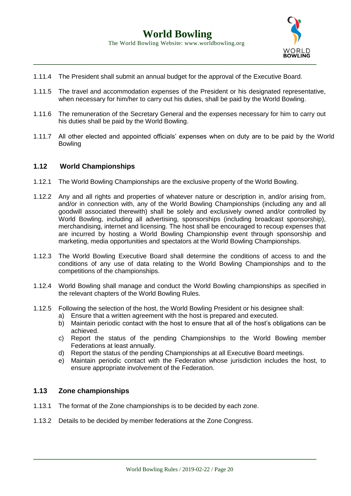

- 1.11.4 The President shall submit an annual budget for the approval of the Executive Board.
- 1.11.5 The travel and accommodation expenses of the President or his designated representative, when necessary for him/her to carry out his duties, shall be paid by the World Bowling.
- 1.11.6 The remuneration of the Secretary General and the expenses necessary for him to carry out his duties shall be paid by the World Bowling.
- 1.11.7 All other elected and appointed officials' expenses when on duty are to be paid by the World **Bowling**

#### **1.12 World Championships**

- 1.12.1 The World Bowling Championships are the exclusive property of the World Bowling.
- 1.12.2 Any and all rights and properties of whatever nature or description in, and/or arising from, and/or in connection with, any of the World Bowling Championships (including any and all goodwill associated therewith) shall be solely and exclusively owned and/or controlled by World Bowling, including all advertising, sponsorships (including broadcast sponsorship), merchandising, internet and licensing. The host shall be encouraged to recoup expenses that are incurred by hosting a World Bowling Championship event through sponsorship and marketing, media opportunities and spectators at the World Bowling Championships.
- 1.12.3 The World Bowling Executive Board shall determine the conditions of access to and the conditions of any use of data relating to the World Bowling Championships and to the competitions of the championships.
- 1.12.4 World Bowling shall manage and conduct the World Bowling championships as specified in the relevant chapters of the World Bowling Rules.
- 1.12.5 Following the selection of the host, the World Bowling President or his designee shall:
	- a) Ensure that a written agreement with the host is prepared and executed.
	- b) Maintain periodic contact with the host to ensure that all of the host's obligations can be achieved.
	- c) Report the status of the pending Championships to the World Bowling member Federations at least annually.
	- d) Report the status of the pending Championships at all Executive Board meetings.
	- e) Maintain periodic contact with the Federation whose jurisdiction includes the host, to ensure appropriate involvement of the Federation.

#### **1.13 Zone championships**

- 1.13.1 The format of the Zone championships is to be decided by each zone.
- 1.13.2 Details to be decided by member federations at the Zone Congress.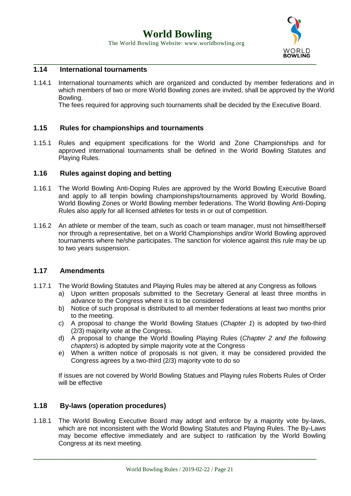The World Bowling Website: www.worldbowling.org



#### **1.14 International tournaments**

1.14.1 International tournaments which are organized and conducted by member federations and in which members of two or more World Bowling zones are invited, shall be approved by the World Bowling.

The fees required for approving such tournaments shall be decided by the Executive Board.

#### **1.15 Rules for championships and tournaments**

1.15.1 Rules and equipment specifications for the World and Zone Championships and for approved international tournaments shall be defined in the World Bowling Statutes and Playing Rules.

#### **1.16 Rules against doping and betting**

- 1.16.1 The World Bowling Anti-Doping Rules are approved by the World Bowling Executive Board and apply to all tenpin bowling championships/tournaments approved by World Bowling, World Bowling Zones or World Bowling member federations. The World Bowling Anti-Doping Rules also apply for all licensed athletes for tests in or out of competition.
- 1.16.2 An athlete or member of the team, such as coach or team manager, must not himself/herself nor through a representative, bet on a World Championships and/or World Bowling approved tournaments where he/she participates. The sanction for violence against this rule may be up to two years suspension.

#### **1.17 Amendments**

- 1.17.1 The World Bowling Statutes and Playing Rules may be altered at any Congress as follows
	- a) Upon written proposals submitted to the Secretary General at least three months in advance to the Congress where it is to be considered
	- b) Notice of such proposal is distributed to all member federations at least two months prior to the meeting.
	- c) A proposal to change the World Bowling Statues (*Chapter 1*) is adopted by two-third (2/3) majority vote at the Congress.
	- d) A proposal to change the World Bowling Playing Rules (*Chapter 2 and the following chapters*) is adopted by simple majority vote at the Congress
	- e) When a written notice of proposals is not given, it may be considered provided the Congress agrees by a two-third (2/3) majority vote to do so

If issues are not covered by World Bowling Statues and Playing rules Roberts Rules of Order will be effective

#### **1.18 By-laws (operation procedures)**

1.18.1 The World Bowling Executive Board may adopt and enforce by a majority vote by-laws, which are not inconsistent with the World Bowling Statutes and Playing Rules. The By-Laws may become effective immediately and are subject to ratification by the World Bowling Congress at its next meeting.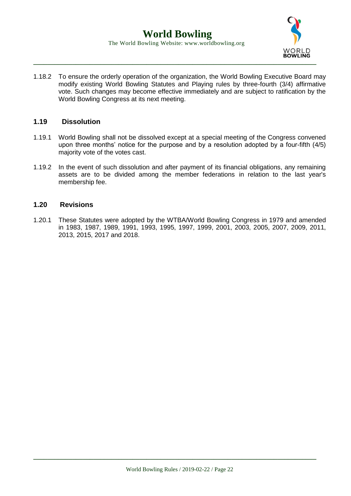

1.18.2 To ensure the orderly operation of the organization, the World Bowling Executive Board may modify existing World Bowling Statutes and Playing rules by three-fourth (3/4) affirmative vote. Such changes may become effective immediately and are subject to ratification by the World Bowling Congress at its next meeting.

#### **1.19 Dissolution**

- 1.19.1 World Bowling shall not be dissolved except at a special meeting of the Congress convened upon three months' notice for the purpose and by a resolution adopted by a four-fifth (4/5) majority vote of the votes cast.
- 1.19.2 In the event of such dissolution and after payment of its financial obligations, any remaining assets are to be divided among the member federations in relation to the last year's membership fee.

#### **1.20 Revisions**

1.20.1 These Statutes were adopted by the WTBA/World Bowling Congress in 1979 and amended in 1983, 1987, 1989, 1991, 1993, 1995, 1997, 1999, 2001, 2003, 2005, 2007, 2009, 2011, 2013, 2015, 2017 and 2018.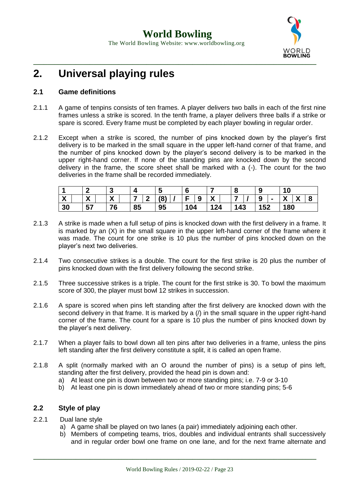

### **2. Universal playing rules**

#### **2.1 Game definitions**

- 2.1.1 A game of tenpins consists of ten frames. A player delivers two balls in each of the first nine frames unless a strike is scored. In the tenth frame, a player delivers three balls if a strike or spare is scored. Every frame must be completed by each player bowling in regular order.
- 2.1.2 Except when a strike is scored, the number of pins knocked down by the player's first delivery is to be marked in the small square in the upper left-hand corner of that frame, and the number of pins knocked down by the player's second delivery is to be marked in the upper right-hand corner. If none of the standing pins are knocked down by the second delivery in the frame, the score sheet shall be marked with a (-). The count for the two deliveries in the frame shall be recorded immediately.

|                                    |                                           | c                 | $\mathbf{r}$ |    |     |                   | О   | 9   | 10                                 |
|------------------------------------|-------------------------------------------|-------------------|--------------|----|-----|-------------------|-----|-----|------------------------------------|
| $\mathbf{v}$<br>$\mathbf{\Lambda}$ | $\mathbf{v}$<br>$\boldsymbol{\mathsf{A}}$ | $\mathbf{v}$<br>- | –            | ٥١ | 9   | $\mathbf{v}$<br>Λ |     | 9   | $\mathbf{v}$<br><b>A</b><br>a<br>Λ |
| 30                                 | 57                                        | 76                | 85           | 95 | 104 | 124               | 143 | 152 | 180                                |

- 2.1.3 A strike is made when a full setup of pins is knocked down with the first delivery in a frame. It is marked by an (X) in the small square in the upper left-hand corner of the frame where it was made. The count for one strike is 10 plus the number of pins knocked down on the player's next two deliveries.
- 2.1.4 Two consecutive strikes is a double. The count for the first strike is 20 plus the number of pins knocked down with the first delivery following the second strike.
- 2.1.5 Three successive strikes is a triple. The count for the first strike is 30. To bowl the maximum score of 300, the player must bowl 12 strikes in succession.
- 2.1.6 A spare is scored when pins left standing after the first delivery are knocked down with the second delivery in that frame. It is marked by a  $\ell$  in the small square in the upper right-hand corner of the frame. The count for a spare is 10 plus the number of pins knocked down by the player's next delivery.
- 2.1.7 When a player fails to bowl down all ten pins after two deliveries in a frame, unless the pins left standing after the first delivery constitute a split, it is called an open frame.
- 2.1.8 A split (normally marked with an O around the number of pins) is a setup of pins left, standing after the first delivery, provided the head pin is down and:
	- a) At least one pin is down between two or more standing pins; i.e. 7-9 or 3-10
	- b) At least one pin is down immediately ahead of two or more standing pins; 5-6

#### **2.2 Style of play**

- 2.2.1 Dual lane style
	- a) A game shall be played on two lanes (a pair) immediately adjoining each other.
	- b) Members of competing teams, trios, doubles and individual entrants shall successively and in regular order bowl one frame on one lane, and for the next frame alternate and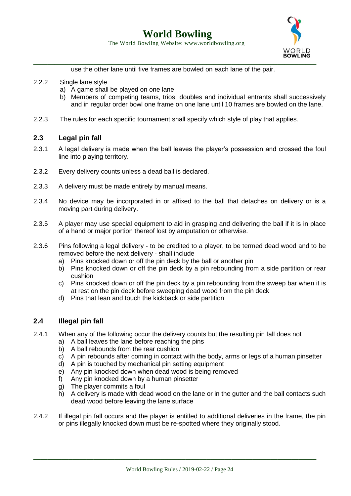

use the other lane until five frames are bowled on each lane of the pair.

- 2.2.2 Single lane style
	- a) A game shall be played on one lane.
	- b) Members of competing teams, trios, doubles and individual entrants shall successively and in regular order bowl one frame on one lane until 10 frames are bowled on the lane.
- 2.2.3 The rules for each specific tournament shall specify which style of play that applies.

#### **2.3 Legal pin fall**

- 2.3.1 A legal delivery is made when the ball leaves the player's possession and crossed the foul line into playing territory.
- 2.3.2 Every delivery counts unless a dead ball is declared.
- 2.3.3 A delivery must be made entirely by manual means.
- 2.3.4 No device may be incorporated in or affixed to the ball that detaches on delivery or is a moving part during delivery.
- 2.3.5 A player may use special equipment to aid in grasping and delivering the ball if it is in place of a hand or major portion thereof lost by amputation or otherwise.
- 2.3.6 Pins following a legal delivery to be credited to a player, to be termed dead wood and to be removed before the next delivery - shall include
	- a) Pins knocked down or off the pin deck by the ball or another pin
	- b) Pins knocked down or off the pin deck by a pin rebounding from a side partition or rear cushion
	- c) Pins knocked down or off the pin deck by a pin rebounding from the sweep bar when it is at rest on the pin deck before sweeping dead wood from the pin deck
	- d) Pins that lean and touch the kickback or side partition

#### **2.4 Illegal pin fall**

- 2.4.1 When any of the following occur the delivery counts but the resulting pin fall does not
	- a) A ball leaves the lane before reaching the pins
	- b) A ball rebounds from the rear cushion
	- c) A pin rebounds after coming in contact with the body, arms or legs of a human pinsetter
	- d) A pin is touched by mechanical pin setting equipment
	- e) Any pin knocked down when dead wood is being removed
	- f) Any pin knocked down by a human pinsetter
	- g) The player commits a foul
	- h) A delivery is made with dead wood on the lane or in the gutter and the ball contacts such dead wood before leaving the lane surface
- 2.4.2 If illegal pin fall occurs and the player is entitled to additional deliveries in the frame, the pin or pins illegally knocked down must be re-spotted where they originally stood.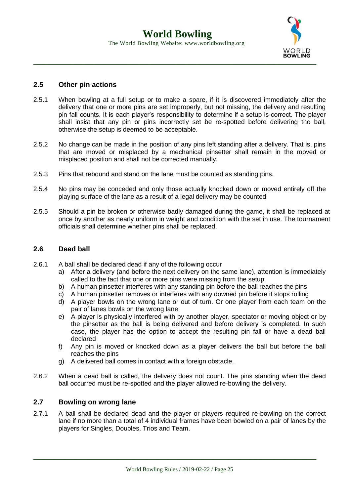

#### **2.5 Other pin actions**

- 2.5.1 When bowling at a full setup or to make a spare, if it is discovered immediately after the delivery that one or more pins are set improperly, but not missing, the delivery and resulting pin fall counts. It is each player's responsibility to determine if a setup is correct. The player shall insist that any pin or pins incorrectly set be re-spotted before delivering the ball, otherwise the setup is deemed to be acceptable.
- 2.5.2 No change can be made in the position of any pins left standing after a delivery. That is, pins that are moved or misplaced by a mechanical pinsetter shall remain in the moved or misplaced position and shall not be corrected manually.
- 2.5.3 Pins that rebound and stand on the lane must be counted as standing pins.
- 2.5.4 No pins may be conceded and only those actually knocked down or moved entirely off the playing surface of the lane as a result of a legal delivery may be counted.
- 2.5.5 Should a pin be broken or otherwise badly damaged during the game, it shall be replaced at once by another as nearly uniform in weight and condition with the set in use. The tournament officials shall determine whether pins shall be replaced.

#### **2.6 Dead ball**

- 2.6.1 A ball shall be declared dead if any of the following occur
	- a) After a delivery (and before the next delivery on the same lane), attention is immediately called to the fact that one or more pins were missing from the setup.
	- b) A human pinsetter interferes with any standing pin before the ball reaches the pins
	- c) A human pinsetter removes or interferes with any downed pin before it stops rolling
	- d) A player bowls on the wrong lane or out of turn. Or one player from each team on the pair of lanes bowls on the wrong lane
	- e) A player is physically interfered with by another player, spectator or moving object or by the pinsetter as the ball is being delivered and before delivery is completed. In such case, the player has the option to accept the resulting pin fall or have a dead ball declared
	- f) Any pin is moved or knocked down as a player delivers the ball but before the ball reaches the pins
	- g) A delivered ball comes in contact with a foreign obstacle.
- 2.6.2 When a dead ball is called, the delivery does not count. The pins standing when the dead ball occurred must be re-spotted and the player allowed re-bowling the delivery.

#### **2.7 Bowling on wrong lane**

2.7.1 A ball shall be declared dead and the player or players required re-bowling on the correct lane if no more than a total of 4 individual frames have been bowled on a pair of lanes by the players for Singles, Doubles, Trios and Team.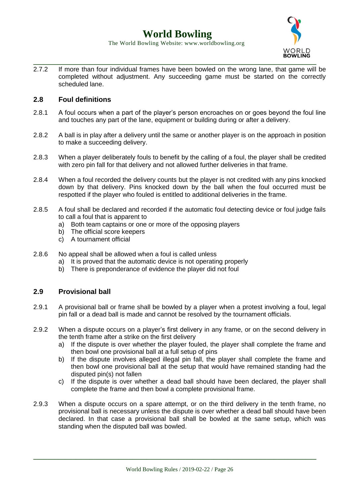

2.7.2 If more than four individual frames have been bowled on the wrong lane, that game will be completed without adjustment. Any succeeding game must be started on the correctly scheduled lane.

#### **2.8 Foul definitions**

- 2.8.1 A foul occurs when a part of the player's person encroaches on or goes beyond the foul line and touches any part of the lane, equipment or building during or after a delivery.
- 2.8.2 A ball is in play after a delivery until the same or another player is on the approach in position to make a succeeding delivery.
- 2.8.3 When a player deliberately fouls to benefit by the calling of a foul, the player shall be credited with zero pin fall for that delivery and not allowed further deliveries in that frame.
- 2.8.4 When a foul recorded the delivery counts but the player is not credited with any pins knocked down by that delivery. Pins knocked down by the ball when the foul occurred must be respotted if the player who fouled is entitled to additional deliveries in the frame.
- 2.8.5 A foul shall be declared and recorded if the automatic foul detecting device or foul judge fails to call a foul that is apparent to
	- a) Both team captains or one or more of the opposing players
	- b) The official score keepers
	- c) A tournament official
- 2.8.6 No appeal shall be allowed when a foul is called unless
	- a) It is proved that the automatic device is not operating properly
	- b) There is preponderance of evidence the player did not foul

#### **2.9 Provisional ball**

- 2.9.1 A provisional ball or frame shall be bowled by a player when a protest involving a foul, legal pin fall or a dead ball is made and cannot be resolved by the tournament officials.
- 2.9.2 When a dispute occurs on a player's first delivery in any frame, or on the second delivery in the tenth frame after a strike on the first delivery
	- a) If the dispute is over whether the player fouled, the player shall complete the frame and then bowl one provisional ball at a full setup of pins
	- b) If the dispute involves alleged illegal pin fall, the player shall complete the frame and then bowl one provisional ball at the setup that would have remained standing had the disputed pin(s) not fallen
	- c) If the dispute is over whether a dead ball should have been declared, the player shall complete the frame and then bowl a complete provisional frame.
- 2.9.3 When a dispute occurs on a spare attempt, or on the third delivery in the tenth frame, no provisional ball is necessary unless the dispute is over whether a dead ball should have been declared. In that case a provisional ball shall be bowled at the same setup, which was standing when the disputed ball was bowled.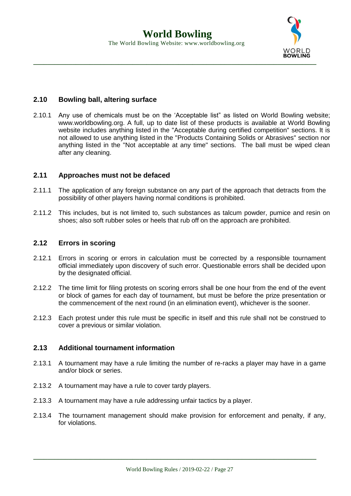

#### **2.10 Bowling ball, altering surface**

2.10.1 Any use of chemicals must be on the 'Acceptable list" as listed on World Bowling website; www.worldbowling.org. A full, up to date list of these products is available at World Bowling website includes anything listed in the "Acceptable during certified competition" sections. It is not allowed to use anything listed in the "Products Containing Solids or Abrasives" section nor anything listed in the "Not acceptable at any time" sections. The ball must be wiped clean after any cleaning.

#### **2.11 Approaches must not be defaced**

- 2.11.1 The application of any foreign substance on any part of the approach that detracts from the possibility of other players having normal conditions is prohibited.
- 2.11.2 This includes, but is not limited to, such substances as talcum powder, pumice and resin on shoes; also soft rubber soles or heels that rub off on the approach are prohibited.

#### **2.12 Errors in scoring**

- 2.12.1 Errors in scoring or errors in calculation must be corrected by a responsible tournament official immediately upon discovery of such error. Questionable errors shall be decided upon by the designated official.
- 2.12.2 The time limit for filing protests on scoring errors shall be one hour from the end of the event or block of games for each day of tournament, but must be before the prize presentation or the commencement of the next round (in an elimination event), whichever is the sooner.
- 2.12.3 Each protest under this rule must be specific in itself and this rule shall not be construed to cover a previous or similar violation.

#### **2.13 Additional tournament information**

- 2.13.1 A tournament may have a rule limiting the number of re-racks a player may have in a game and/or block or series.
- 2.13.2 A tournament may have a rule to cover tardy players.
- 2.13.3 A tournament may have a rule addressing unfair tactics by a player.
- 2.13.4 The tournament management should make provision for enforcement and penalty, if any, for violations.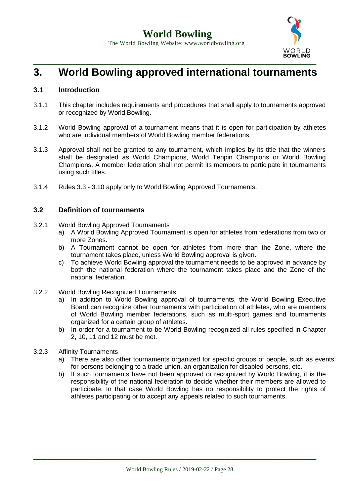

### **3. World Bowling approved international tournaments**

#### **3.1 Introduction**

- 3.1.1 This chapter includes requirements and procedures that shall apply to tournaments approved or recognized by World Bowling.
- 3.1.2 World Bowling approval of a tournament means that it is open for participation by athletes who are individual members of World Bowling member federations.
- 3.1.3 Approval shall not be granted to any tournament, which implies by its title that the winners shall be designated as World Champions, World Tenpin Champions or World Bowling Champions. A member federation shall not permit its members to participate in tournaments using such titles.
- 3.1.4 Rules 3.3 3.10 apply only to World Bowling Approved Tournaments.

#### **3.2 Definition of tournaments**

- 3.2.1 World Bowling Approved Tournaments
	- a) A World Bowling Approved Tournament is open for athletes from federations from two or more Zones.
	- b) A Tournament cannot be open for athletes from more than the Zone, where the tournament takes place, unless World Bowling approval is given.
	- c) To achieve World Bowling approval the tournament needs to be approved in advance by both the national federation where the tournament takes place and the Zone of the national federation.
- 3.2.2 World Bowling Recognized Tournaments
	- a) In addition to World Bowling approval of tournaments, the World Bowling Executive Board can recognize other tournaments with participation of athletes, who are members of World Bowling member federations, such as multi-sport games and tournaments organized for a certain group of athletes.
	- b) In order for a tournament to be World Bowling recognized all rules specified in Chapter 2, 10, 11 and 12 must be met.
- 3.2.3 Affinity Tournaments
	- a) There are also other tournaments organized for specific groups of people, such as events for persons belonging to a trade union, an organization for disabled persons, etc.
	- b) If such tournaments have not been approved or recognized by World Bowling, it is the responsibility of the national federation to decide whether their members are allowed to participate. In that case World Bowling has no responsibility to protect the rights of athletes participating or to accept any appeals related to such tournaments.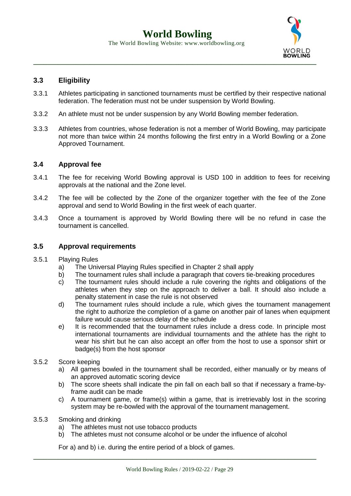

#### **3.3 Eligibility**

- 3.3.1 Athletes participating in sanctioned tournaments must be certified by their respective national federation. The federation must not be under suspension by World Bowling.
- 3.3.2 An athlete must not be under suspension by any World Bowling member federation.
- 3.3.3 Athletes from countries, whose federation is not a member of World Bowling, may participate not more than twice within 24 months following the first entry in a World Bowling or a Zone Approved Tournament.

#### **3.4 Approval fee**

- 3.4.1 The fee for receiving World Bowling approval is USD 100 in addition to fees for receiving approvals at the national and the Zone level.
- 3.4.2 The fee will be collected by the Zone of the organizer together with the fee of the Zone approval and send to World Bowling in the first week of each quarter.
- 3.4.3 Once a tournament is approved by World Bowling there will be no refund in case the tournament is cancelled.

#### **3.5 Approval requirements**

- 3.5.1 Playing Rules
	- a) The Universal Playing Rules specified in Chapter 2 shall apply
	- b) The tournament rules shall include a paragraph that covers tie-breaking procedures
	- c) The tournament rules should include a rule covering the rights and obligations of the athletes when they step on the approach to deliver a ball. It should also include a penalty statement in case the rule is not observed
	- d) The tournament rules should include a rule, which gives the tournament management the right to authorize the completion of a game on another pair of lanes when equipment failure would cause serious delay of the schedule
	- e) It is recommended that the tournament rules include a dress code. In principle most international tournaments are individual tournaments and the athlete has the right to wear his shirt but he can also accept an offer from the host to use a sponsor shirt or badge(s) from the host sponsor
- 3.5.2 Score keeping
	- a) All games bowled in the tournament shall be recorded, either manually or by means of an approved automatic scoring device
	- b) The score sheets shall indicate the pin fall on each ball so that if necessary a frame-byframe audit can be made
	- c) A tournament game, or frame(s) within a game, that is irretrievably lost in the scoring system may be re-bowled with the approval of the tournament management.
- 3.5.3 Smoking and drinking
	- a) The athletes must not use tobacco products
	- b) The athletes must not consume alcohol or be under the influence of alcohol

**\_\_\_\_\_\_\_\_\_\_\_\_\_\_\_\_\_\_\_\_\_\_\_\_\_\_\_\_\_\_\_\_\_\_\_\_\_\_\_\_\_\_\_\_\_\_\_\_\_\_\_\_\_\_\_\_\_\_\_\_\_\_\_\_\_\_\_\_\_\_\_\_\_\_\_\_\_\_\_\_**

For a) and b) i.e. during the entire period of a block of games.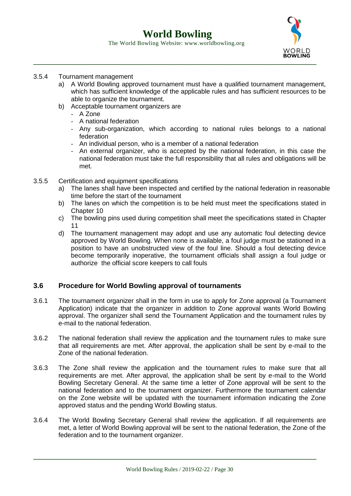The World Bowling Website: www.worldbowling.org



#### 3.5.4 Tournament management

- a) A World Bowling approved tournament must have a qualified tournament management, which has sufficient knowledge of the applicable rules and has sufficient resources to be able to organize the tournament.
- b) Acceptable tournament organizers are
	- A Zone
	- A national federation
	- Any sub-organization, which according to national rules belongs to a national federation
	- An individual person, who is a member of a national federation
	- An external organizer, who is accepted by the national federation, in this case the national federation must take the full responsibility that all rules and obligations will be met.
- 3.5.5 Certification and equipment specifications
	- a) The lanes shall have been inspected and certified by the national federation in reasonable time before the start of the tournament
	- b) The lanes on which the competition is to be held must meet the specifications stated in Chapter 10
	- c) The bowling pins used during competition shall meet the specifications stated in Chapter 11
	- d) The tournament management may adopt and use any automatic foul detecting device approved by World Bowling. When none is available, a foul judge must be stationed in a position to have an unobstructed view of the foul line. Should a foul detecting device become temporarily inoperative, the tournament officials shall assign a foul judge or authorize the official score keepers to call fouls

#### **3.6 Procedure for World Bowling approval of tournaments**

- 3.6.1 The tournament organizer shall in the form in use to apply for Zone approval (a Tournament Application) indicate that the organizer in addition to Zone approval wants World Bowling approval. The organizer shall send the Tournament Application and the tournament rules by e-mail to the national federation.
- 3.6.2 The national federation shall review the application and the tournament rules to make sure that all requirements are met. After approval, the application shall be sent by e-mail to the Zone of the national federation.
- 3.6.3 The Zone shall review the application and the tournament rules to make sure that all requirements are met. After approval, the application shall be sent by e-mail to the World Bowling Secretary General. At the same time a letter of Zone approval will be sent to the national federation and to the tournament organizer. Furthermore the tournament calendar on the Zone website will be updated with the tournament information indicating the Zone approved status and the pending World Bowling status.
- 3.6.4 The World Bowling Secretary General shall review the application. If all requirements are met, a letter of World Bowling approval will be sent to the national federation, the Zone of the federation and to the tournament organizer.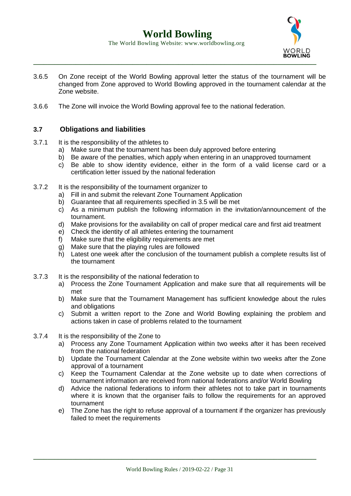

The World Bowling Website: www.worldbowling.org

- 3.6.5 On Zone receipt of the World Bowling approval letter the status of the tournament will be changed from Zone approved to World Bowling approved in the tournament calendar at the Zone website.
- 3.6.6 The Zone will invoice the World Bowling approval fee to the national federation.

#### **3.7 Obligations and liabilities**

- 3.7.1 It is the responsibility of the athletes to
	- a) Make sure that the tournament has been duly approved before entering
	- b) Be aware of the penalties, which apply when entering in an unapproved tournament
	- c) Be able to show identity evidence, either in the form of a valid license card or a certification letter issued by the national federation
- 3.7.2 It is the responsibility of the tournament organizer to
	- a) Fill in and submit the relevant Zone Tournament Application
	- b) Guarantee that all requirements specified in 3.5 will be met
	- c) As a minimum publish the following information in the invitation/announcement of the tournament.
	- d) Make provisions for the availability on call of proper medical care and first aid treatment
	- e) Check the identity of all athletes entering the tournament
	- f) Make sure that the eligibility requirements are met
	- g) Make sure that the playing rules are followed
	- h) Latest one week after the conclusion of the tournament publish a complete results list of the tournament
- 3.7.3 It is the responsibility of the national federation to
	- a) Process the Zone Tournament Application and make sure that all requirements will be met
	- b) Make sure that the Tournament Management has sufficient knowledge about the rules and obligations
	- c) Submit a written report to the Zone and World Bowling explaining the problem and actions taken in case of problems related to the tournament
- 3.7.4 It is the responsibility of the Zone to
	- a) Process any Zone Tournament Application within two weeks after it has been received from the national federation
	- b) Update the Tournament Calendar at the Zone website within two weeks after the Zone approval of a tournament
	- c) Keep the Tournament Calendar at the Zone website up to date when corrections of tournament information are received from national federations and/or World Bowling
	- d) Advice the national federations to inform their athletes not to take part in tournaments where it is known that the organiser fails to follow the requirements for an approved tournament
	- e) The Zone has the right to refuse approval of a tournament if the organizer has previously failed to meet the requirements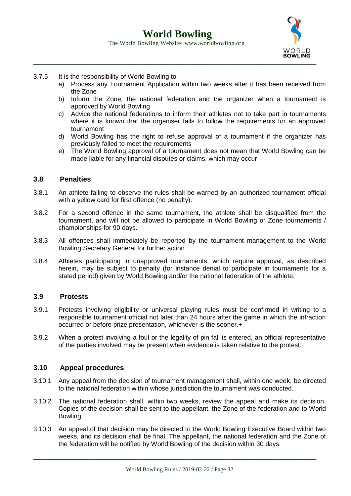

#### 3.7.5 It is the responsibility of World Bowling to

- a) Process any Tournament Application within two weeks after it has been received from the Zone
- b) Inform the Zone, the national federation and the organizer when a tournament is approved by World Bowling
- c) Advice the national federations to inform their athletes not to take part in tournaments where it is known that the organiser fails to follow the requirements for an approved tournament
- d) World Bowling has the right to refuse approval of a tournament if the organizer has previously failed to meet the requirements
- e) The World Bowling approval of a tournament does not mean that World Bowling can be made liable for any financial disputes or claims, which may occur

#### **3.8 Penalties**

- 3.8.1 An athlete failing to observe the rules shall be warned by an authorized tournament official with a yellow card for first offence (no penalty).
- 3.8.2 For a second offence in the same tournament, the athlete shall be disqualified from the tournament, and will not be allowed to participate in World Bowling or Zone tournaments / championships for 90 days.
- 3.8.3 All offences shall immediately be reported by the tournament management to the World Bowling Secretary General for further action.
- 3.8.4 Athletes participating in unapproved tournaments, which require approval, as described herein, may be subject to penalty (for instance denial to participate in tournaments for a stated period) given by World Bowling and/or the national federation of the athlete.

#### **3.9 Protests**

- 3.9.1 Protests involving eligibility or universal playing rules must be confirmed in writing to a responsible tournament official not later than 24 hours after the game in which the infraction occurred or before prize presentation, whichever is the sooner.+
- 3.9.2 When a protest involving a foul or the legality of pin fall is entered, an official representative of the parties involved may be present when evidence is taken relative to the protest.

#### **3.10 Appeal procedures**

- 3.10.1 Any appeal from the decision of tournament management shall, within one week, be directed to the national federation within whose jurisdiction the tournament was conducted.
- 3.10.2 The national federation shall, within two weeks, review the appeal and make its decision. Copies of the decision shall be sent to the appellant, the Zone of the federation and to World Bowling.
- 3.10.3 An appeal of that decision may be directed to the World Bowling Executive Board within two weeks, and its decision shall be final. The appellant, the national federation and the Zone of the federation will be notified by World Bowling of the decision within 30 days.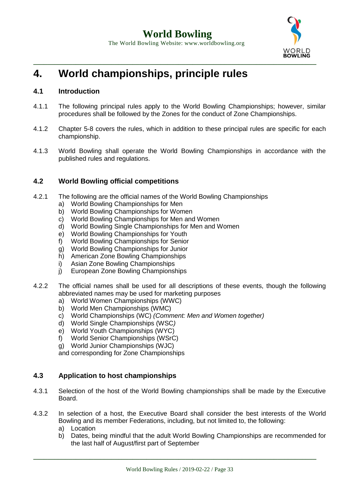

### **4. World championships, principle rules**

#### **4.1 Introduction**

- 4.1.1 The following principal rules apply to the World Bowling Championships; however, similar procedures shall be followed by the Zones for the conduct of Zone Championships.
- 4.1.2 Chapter 5-8 covers the rules, which in addition to these principal rules are specific for each championship.
- 4.1.3 World Bowling shall operate the World Bowling Championships in accordance with the published rules and regulations.

#### **4.2 World Bowling official competitions**

- 4.2.1 The following are the official names of the World Bowling Championships
	- a) World Bowling Championships for Men
	- b) World Bowling Championships for Women
	- c) World Bowling Championships for Men and Women
	- d) World Bowling Single Championships for Men and Women
	- e) World Bowling Championships for Youth
	- f) World Bowling Championships for Senior
	- g) World Bowling Championships for Junior
	- h) American Zone Bowling Championships
	- i) Asian Zone Bowling Championships
	- j) European Zone Bowling Championships
- 4.2.2 The official names shall be used for all descriptions of these events, though the following abbreviated names may be used for marketing purposes
	- a) World Women Championships (WWC)
	- b) World Men Championships (WMC)
	- c) World Championships (WC) *(Comment: Men and Women together)*
	- d) World Single Championships (WSC*)*
	- e) World Youth Championships (WYC)
	- f) World Senior Championships (WSrC)
	- g) World Junior Championships (WJC)

and corresponding for Zone Championships

#### **4.3 Application to host championships**

- 4.3.1 Selection of the host of the World Bowling championships shall be made by the Executive **Board**
- 4.3.2 In selection of a host, the Executive Board shall consider the best interests of the World Bowling and its member Federations, including, but not limited to, the following:
	- a) Location
	- b) Dates, being mindful that the adult World Bowling Championships are recommended for the last half of August/first part of September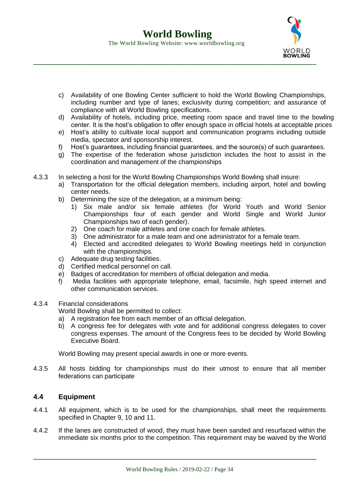

- c) Availability of one Bowling Center sufficient to hold the World Bowling Championships, including number and type of lanes; exclusivity during competition; and assurance of compliance with all World Bowling specifications.
- d) Availability of hotels, including price, meeting room space and travel time to the bowling center. It is the host's obligation to offer enough space in official hotels at acceptable prices
- e) Host's ability to cultivate local support and communication programs including outside media, spectator and sponsorship interest.
- f) Host's guarantees, including financial guarantees, and the source(s) of such guarantees.
- g) The expertise of the federation whose jurisdiction includes the host to assist in the coordination and management of the championships
- 4.3.3 In selecting a host for the World Bowling Championships World Bowling shall insure:
	- a) Transportation for the official delegation members, including airport, hotel and bowling center needs.
	- b) Determining the size of the delegation, at a minimum being:
		- 1) Six male and/or six female athletes (for World Youth and World Senior Championships four of each gender and World Single and World Junior Championships two of each gender).
		- 2) One coach for male athletes and one coach for female athletes.
		- 3) One administrator for a male team and one administrator for a female team.
		- 4) Elected and accredited delegates to World Bowling meetings held in conjunction with the championships.
	- c) Adequate drug testing facilities.
	- d) Certified medical personnel on call.
	- e) Badges of accreditation for members of official delegation and media.
	- f) Media facilities with appropriate telephone, email, facsimile, high speed internet and other communication services.
- 4.3.4 Financial considerations

World Bowling shall be permitted to collect:

- a) A registration fee from each member of an official delegation.
- b) A congress fee for delegates with vote and for additional congress delegates to cover congress expenses. The amount of the Congress fees to be decided by World Bowling Executive Board.

World Bowling may present special awards in one or more events.

4.3.5 All hosts bidding for championships must do their utmost to ensure that all member federations can participate

#### **4.4 Equipment**

- 4.4.1 All equipment, which is to be used for the championships, shall meet the requirements specified in Chapter 9, 10 and 11.
- 4.4.2 If the lanes are constructed of wood, they must have been sanded and resurfaced within the immediate six months prior to the competition. This requirement may be waived by the World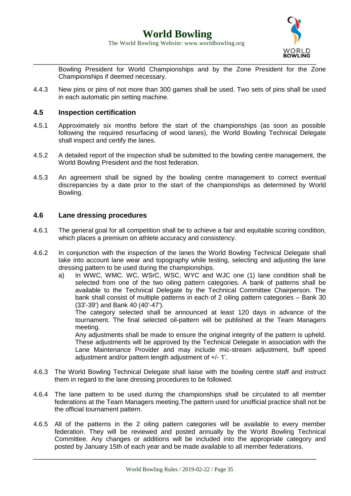

Bowling President for World Championships and by the Zone President for the Zone Championships if deemed necessary.

4.4.3 New pins or pins of not more than 300 games shall be used. Two sets of pins shall be used in each automatic pin setting machine.

#### **4.5 Inspection certification**

- 4.5.1 Approximately six months before the start of the championships (as soon as possible following the required resurfacing of wood lanes), the World Bowling Technical Delegate shall inspect and certify the lanes.
- 4.5.2 A detailed report of the inspection shall be submitted to the bowling centre management, the World Bowling President and the host federation.
- 4.5.3 An agreement shall be signed by the bowling centre management to correct eventual discrepancies by a date prior to the start of the championships as determined by World Bowling.

#### **4.6 Lane dressing procedures**

- 4.6.1 The general goal for all competition shall be to achieve a fair and equitable scoring condition, which places a premium on athlete accuracy and consistency.
- 4.6.2 In conjunction with the inspection of the lanes the World Bowling Technical Delegate shall take into account lane wear and topography while testing, selecting and adjusting the lane dressing pattern to be used during the championships.
	- a) In WWC, WMC. WC, WSrC, WSC, WYC and WJC one (1) lane condition shall be selected from one of the two oiling pattern categories. A bank of patterns shall be available to the Technical Delegate by the Technical Committee Chairperson. The bank shall consist of multiple patterns in each of 2 oiling pattern categories – Bank 30 (33'-39') and Bank 40 (40'-47').

The category selected shall be announced at least 120 days in advance of the tournament. The final selected oil-pattern will be published at the Team Managers meeting.

Any adjustments shall be made to ensure the original integrity of the pattern is upheld. These adjustments will be approved by the Technical Delegate in association with the Lane Maintenance Provider and may include mic-stream adjustment, buff speed adjustment and/or pattern length adjustment of +/- 1'.

- 4.6.3 The World Bowling Technical Delegate shall liaise with the bowling centre staff and instruct them in regard to the lane dressing procedures to be followed.
- 4.6.4 The lane pattern to be used during the championships shall be circulated to all member federations at the Team Managers meeting.The pattern used for unofficial practice shall not be the official tournament pattern.
- 4.6.5 All of the patterns in the 2 oiling pattern categories will be available to every member federation. They will be reviewed and posted annually by the World Bowling Technical Committee. Any changes or additions will be included into the appropriate category and posted by January 15th of each year and be made available to all member federations.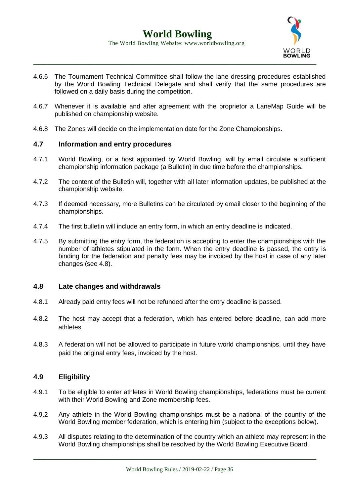

- 4.6.6 The Tournament Technical Committee shall follow the lane dressing procedures established by the World Bowling Technical Delegate and shall verify that the same procedures are followed on a daily basis during the competition.
- 4.6.7 Whenever it is available and after agreement with the proprietor a LaneMap Guide will be published on championship website.
- 4.6.8 The Zones will decide on the implementation date for the Zone Championships.

#### **4.7 Information and entry procedures**

- 4.7.1 World Bowling, or a host appointed by World Bowling, will by email circulate a sufficient championship information package (a Bulletin) in due time before the championships.
- 4.7.2 The content of the Bulletin will, together with all later information updates, be published at the championship website.
- 4.7.3 If deemed necessary, more Bulletins can be circulated by email closer to the beginning of the championships.
- 4.7.4 The first bulletin will include an entry form, in which an entry deadline is indicated.
- 4.7.5 By submitting the entry form, the federation is accepting to enter the championships with the number of athletes stipulated in the form. When the entry deadline is passed, the entry is binding for the federation and penalty fees may be invoiced by the host in case of any later changes (see 4.8).

#### **4.8 Late changes and withdrawals**

- 4.8.1 Already paid entry fees will not be refunded after the entry deadline is passed.
- 4.8.2 The host may accept that a federation, which has entered before deadline, can add more athletes.
- 4.8.3 A federation will not be allowed to participate in future world championships, until they have paid the original entry fees, invoiced by the host.

#### **4.9 Eligibility**

- 4.9.1 To be eligible to enter athletes in World Bowling championships, federations must be current with their World Bowling and Zone membership fees.
- 4.9.2 Any athlete in the World Bowling championships must be a national of the country of the World Bowling member federation, which is entering him (subject to the exceptions below).
- 4.9.3 All disputes relating to the determination of the country which an athlete may represent in the World Bowling championships shall be resolved by the World Bowling Executive Board.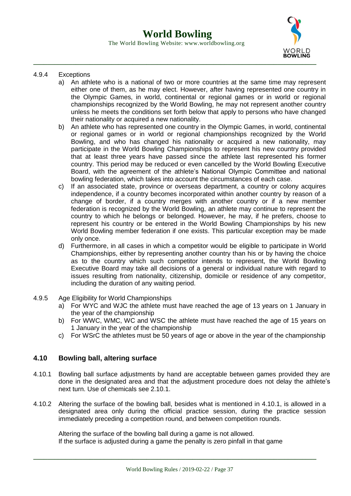

#### 4.9.4 Exceptions

- a) An athlete who is a national of two or more countries at the same time may represent either one of them, as he may elect. However, after having represented one country in the Olympic Games, in world, continental or regional games or in world or regional championships recognized by the World Bowling, he may not represent another country unless he meets the conditions set forth below that apply to persons who have changed their nationality or acquired a new nationality.
- b) An athlete who has represented one country in the Olympic Games, in world, continental or regional games or in world or regional championships recognized by the World Bowling, and who has changed his nationality or acquired a new nationality, may participate in the World Bowling Championships to represent his new country provided that at least three years have passed since the athlete last represented his former country. This period may be reduced or even cancelled by the World Bowling Executive Board, with the agreement of the athlete's National Olympic Committee and national bowling federation, which takes into account the circumstances of each case.
- c) If an associated state, province or overseas department, a country or colony acquires independence, if a country becomes incorporated within another country by reason of a change of border, if a country merges with another country or if a new member federation is recognized by the World Bowling, an athlete may continue to represent the country to which he belongs or belonged. However, he may, if he prefers, choose to represent his country or be entered in the World Bowling Championships by his new World Bowling member federation if one exists. This particular exception may be made only once.
- d) Furthermore, in all cases in which a competitor would be eligible to participate in World Championships, either by representing another country than his or by having the choice as to the country which such competitor intends to represent, the World Bowling Executive Board may take all decisions of a general or individual nature with regard to issues resulting from nationality, citizenship, domicile or residence of any competitor, including the duration of any waiting period.
- 4.9.5 Age Eligibility for World Championships
	- a) For WYC and WJC the athlete must have reached the age of 13 years on 1 January in the year of the championship
	- b) For WWC, WMC, WC and WSC the athlete must have reached the age of 15 years on 1 January in the year of the championship
	- c) For WSrC the athletes must be 50 years of age or above in the year of the championship

#### **4.10 Bowling ball, altering surface**

- 4.10.1 Bowling ball surface adjustments by hand are acceptable between games provided they are done in the designated area and that the adjustment procedure does not delay the athlete's next turn. Use of chemicals see 2.10.1.
- 4.10.2 Altering the surface of the bowling ball, besides what is mentioned in 4.10.1, is allowed in a designated area only during the official practice session, during the practice session immediately preceding a competition round, and between competition rounds.

Altering the surface of the bowling ball during a game is not allowed. If the surface is adjusted during a game the penalty is zero pinfall in that game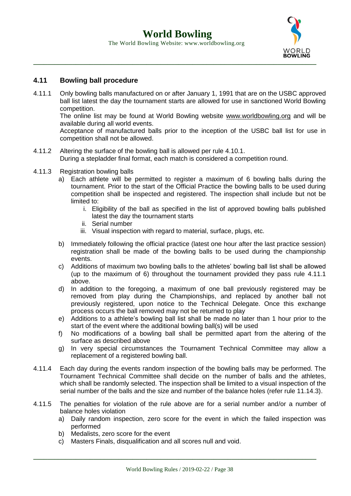

## **4.11 Bowling ball procedure**

4.11.1 Only bowling balls manufactured on or after January 1, 1991 that are on the USBC approved ball list latest the day the tournament starts are allowed for use in sanctioned World Bowling competition.

The online list may be found at World Bowling website [www.worldbowling.org](http://www.worldbowling.org/) and will be available during all world events.

Acceptance of manufactured balls prior to the inception of the USBC ball list for use in competition shall not be allowed.

- 4.11.2 Altering the surface of the bowling ball is allowed per rule 4.10.1. During a stepladder final format, each match is considered a competition round.
- 4.11.3 Registration bowling balls
	- a) Each athlete will be permitted to register a maximum of 6 bowling balls during the tournament. Prior to the start of the Official Practice the bowling balls to be used during competition shall be inspected and registered. The inspection shall include but not be limited to:
		- i. Eligibility of the ball as specified in the list of approved bowling balls published latest the day the tournament starts
		- ii. Serial number
		- iii. Visual inspection with regard to material, surface, plugs, etc.
	- b) Immediately following the official practice (latest one hour after the last practice session) registration shall be made of the bowling balls to be used during the championship events.
	- c) Additions of maximum two bowling balls to the athletes' bowling ball list shall be allowed (up to the maximum of 6) throughout the tournament provided they pass rule 4.11.1 above.
	- d) In addition to the foregoing, a maximum of one ball previously registered may be removed from play during the Championships, and replaced by another ball not previously registered, upon notice to the Technical Delegate. Once this exchange process occurs the ball removed may not be returned to play
	- e) Additions to a athlete's bowling ball list shall be made no later than 1 hour prior to the start of the event where the additional bowling ball(s) will be used
	- f) No modifications of a bowling ball shall be permitted apart from the altering of the surface as described above
	- g) In very special circumstances the Tournament Technical Committee may allow a replacement of a registered bowling ball.
- 4.11.4 Each day during the events random inspection of the bowling balls may be performed. The Tournament Technical Committee shall decide on the number of balls and the athletes, which shall be randomly selected. The inspection shall be limited to a visual inspection of the serial number of the balls and the size and number of the balance holes (refer rule 11.14.3).
- 4.11.5 The penalties for violation of the rule above are for a serial number and/or a number of balance holes violation
	- a) Daily random inspection, zero score for the event in which the failed inspection was performed
	- b) Medalists, zero score for the event
	- c) Masters Finals, disqualification and all scores null and void.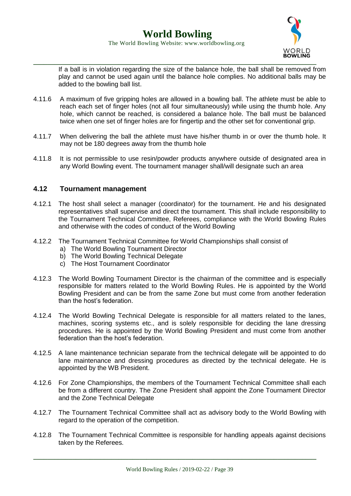

If a ball is in violation regarding the size of the balance hole, the ball shall be removed from play and cannot be used again until the balance hole complies. No additional balls may be added to the bowling ball list.

- 4.11.6 A maximum of five gripping holes are allowed in a bowling ball. The athlete must be able to reach each set of finger holes (not all four simultaneously) while using the thumb hole. Any hole, which cannot be reached, is considered a balance hole. The ball must be balanced twice when one set of finger holes are for fingertip and the other set for conventional grip.
- 4.11.7 When delivering the ball the athlete must have his/her thumb in or over the thumb hole. It may not be 180 degrees away from the thumb hole
- 4.11.8 It is not permissible to use resin/powder products anywhere outside of designated area in any World Bowling event. The tournament manager shall/will designate such an area

### **4.12 Tournament management**

- 4.12.1 The host shall select a manager (coordinator) for the tournament. He and his designated representatives shall supervise and direct the tournament. This shall include responsibility to the Tournament Technical Committee, Referees, compliance with the World Bowling Rules and otherwise with the codes of conduct of the World Bowling
- 4.12.2 The Tournament Technical Committee for World Championships shall consist of
	- a) The World Bowling Tournament Director
	- b) The World Bowling Technical Delegate
	- c) The Host Tournament Coordinator
- 4.12.3 The World Bowling Tournament Director is the chairman of the committee and is especially responsible for matters related to the World Bowling Rules. He is appointed by the World Bowling President and can be from the same Zone but must come from another federation than the host's federation.
- 4.12.4 The World Bowling Technical Delegate is responsible for all matters related to the lanes, machines, scoring systems etc., and is solely responsible for deciding the lane dressing procedures. He is appointed by the World Bowling President and must come from another federation than the host's federation.
- 4.12.5 A lane maintenance technician separate from the technical delegate will be appointed to do lane maintenance and dressing procedures as directed by the technical delegate. He is appointed by the WB President.
- 4.12.6 For Zone Championships, the members of the Tournament Technical Committee shall each be from a different country. The Zone President shall appoint the Zone Tournament Director and the Zone Technical Delegate
- 4.12.7 The Tournament Technical Committee shall act as advisory body to the World Bowling with regard to the operation of the competition.
- 4.12.8 The Tournament Technical Committee is responsible for handling appeals against decisions taken by the Referees.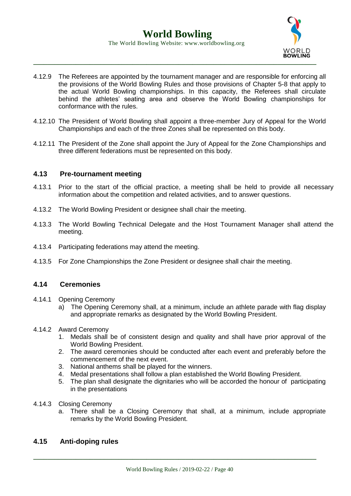

- 4.12.9 The Referees are appointed by the tournament manager and are responsible for enforcing all the provisions of the World Bowling Rules and those provisions of Chapter 5-8 that apply to the actual World Bowling championships. In this capacity, the Referees shall circulate behind the athletes' seating area and observe the World Bowling championships for conformance with the rules.
- 4.12.10 The President of World Bowling shall appoint a three-member Jury of Appeal for the World Championships and each of the three Zones shall be represented on this body.
- 4.12.11 The President of the Zone shall appoint the Jury of Appeal for the Zone Championships and three different federations must be represented on this body.

### **4.13 Pre-tournament meeting**

- 4.13.1 Prior to the start of the official practice, a meeting shall be held to provide all necessary information about the competition and related activities, and to answer questions.
- 4.13.2 The World Bowling President or designee shall chair the meeting.
- 4.13.3 The World Bowling Technical Delegate and the Host Tournament Manager shall attend the meeting.
- 4.13.4 Participating federations may attend the meeting.
- 4.13.5 For Zone Championships the Zone President or designee shall chair the meeting.

#### **4.14 Ceremonies**

- 4.14.1 Opening Ceremony
	- a) The Opening Ceremony shall, at a minimum, include an athlete parade with flag display and appropriate remarks as designated by the World Bowling President.
- 4.14.2 Award Ceremony
	- 1. Medals shall be of consistent design and quality and shall have prior approval of the World Bowling President.
	- 2. The award ceremonies should be conducted after each event and preferably before the commencement of the next event.
	- 3. National anthems shall be played for the winners.
	- 4. Medal presentations shall follow a plan established the World Bowling President.
	- 5. The plan shall designate the dignitaries who will be accorded the honour of participating in the presentations
- 4.14.3 Closing Ceremony
	- a. There shall be a Closing Ceremony that shall, at a minimum, include appropriate remarks by the World Bowling President.

## **4.15 Anti-doping rules**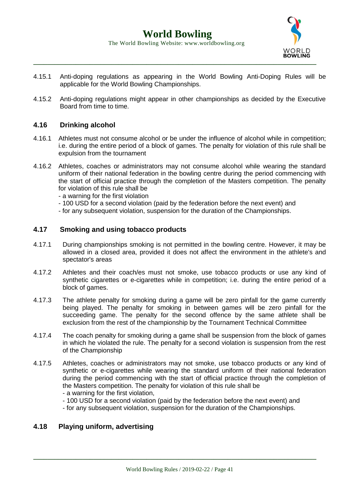

- 4.15.1 Anti-doping regulations as appearing in the World Bowling Anti-Doping Rules will be applicable for the World Bowling Championships.
- 4.15.2 Anti-doping regulations might appear in other championships as decided by the Executive Board from time to time.

### **4.16 Drinking alcohol**

- 4.16.1 Athletes must not consume alcohol or be under the influence of alcohol while in competition; i.e. during the entire period of a block of games. The penalty for violation of this rule shall be expulsion from the tournament
- 4.16.2 Athletes, coaches or administrators may not consume alcohol while wearing the standard uniform of their national federation in the bowling centre during the period commencing with the start of official practice through the completion of the Masters competition. The penalty for violation of this rule shall be
	- a warning for the first violation
	- 100 USD for a second violation (paid by the federation before the next event) and
	- for any subsequent violation, suspension for the duration of the Championships.

#### **4.17 Smoking and using tobacco products**

- 4.17.1 During championships smoking is not permitted in the bowling centre. However, it may be allowed in a closed area, provided it does not affect the environment in the athlete's and spectator's areas
- 4.17.2 Athletes and their coach/es must not smoke, use tobacco products or use any kind of synthetic cigarettes or e-cigarettes while in competition; i.e. during the entire period of a block of games.
- 4.17.3 The athlete penalty for smoking during a game will be zero pinfall for the game currently being played. The penalty for smoking in between games will be zero pinfall for the succeeding game. The penalty for the second offence by the same athlete shall be exclusion from the rest of the championship by the Tournament Technical Committee
- 4.17.4 The coach penalty for smoking during a game shall be suspension from the block of games in which he violated the rule. The penalty for a second violation is suspension from the rest of the Championship
- 4.17.5 Athletes, coaches or administrators may not smoke, use tobacco products or any kind of synthetic or e-cigarettes while wearing the standard uniform of their national federation during the period commencing with the start of official practice through the completion of the Masters competition. The penalty for violation of this rule shall be - a warning for the first violation,
	- 100 USD for a second violation (paid by the federation before the next event) and
	- for any subsequent violation, suspension for the duration of the Championships.

#### **4.18 Playing uniform, advertising**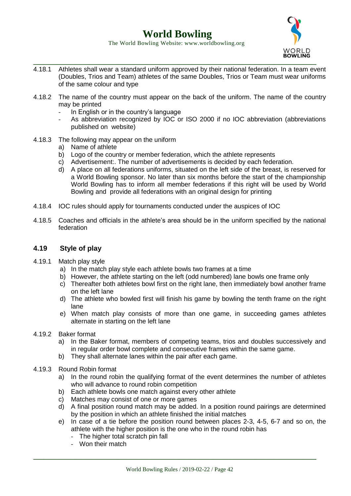## **World Bowling**



#### The World Bowling Website: www.worldbowling.org

- **\_\_\_\_\_\_\_\_\_\_\_\_\_\_\_\_\_\_\_\_\_\_\_\_\_\_\_\_\_\_\_\_\_\_\_\_\_\_\_\_\_\_\_\_\_\_\_\_\_\_\_\_\_\_\_\_\_\_\_\_\_\_\_\_\_\_\_\_\_\_\_\_\_\_\_\_\_\_\_\_** 4.18.1 Athletes shall wear a standard uniform approved by their national federation. In a team event (Doubles, Trios and Team) athletes of the same Doubles, Trios or Team must wear uniforms of the same colour and type
- 4.18.2 The name of the country must appear on the back of the uniform. The name of the country may be printed
	- In English or in the country's language
	- As abbreviation recognized by IOC or ISO 2000 if no IOC abbreviation (abbreviations published on website)
- 4.18.3 The following may appear on the uniform
	- a) Name of athlete
	- b) Logo of the country or member federation, which the athlete represents
	- c) Advertisement:. The number of advertisements is decided by each federation.
	- d) A place on all federations uniforms, situated on the left side of the breast, is reserved for a World Bowling sponsor. No later than six months before the start of the championship World Bowling has to inform all member federations if this right will be used by World Bowling and provide all federations with an original design for printing
- 4.18.4 IOC rules should apply for tournaments conducted under the auspices of IOC
- 4.18.5 Coaches and officials in the athlete's area should be in the uniform specified by the national federation

## **4.19 Style of play**

- 4.19.1 Match play style
	- a) In the match play style each athlete bowls two frames at a time
	- b) However, the athlete starting on the left (odd numbered) lane bowls one frame only
	- c) Thereafter both athletes bowl first on the right lane, then immediately bowl another frame on the left lane
	- d) The athlete who bowled first will finish his game by bowling the tenth frame on the right lane
	- e) When match play consists of more than one game, in succeeding games athletes alternate in starting on the left lane
- 4.19.2 Baker format
	- a) In the Baker format, members of competing teams, trios and doubles successively and in regular order bowl complete and consecutive frames within the same game.
	- b) They shall alternate lanes within the pair after each game.
- 4.19.3 Round Robin format
	- a) In the round robin the qualifying format of the event determines the number of athletes who will advance to round robin competition
	- b) Each athlete bowls one match against every other athlete
	- c) Matches may consist of one or more games
	- d) A final position round match may be added. In a position round pairings are determined by the position in which an athlete finished the initial matches
	- e) In case of a tie before the position round between places 2-3, 4-5, 6-7 and so on, the athlete with the higher position is the one who in the round robin has
		- The higher total scratch pin fall
		- Won their match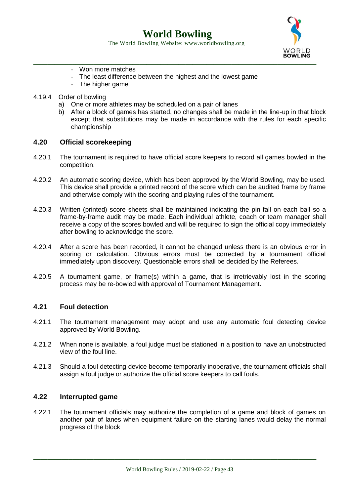**World Bowling** The World Bowling Website: www.worldbowling.org



- Won more matches
- The least difference between the highest and the lowest game
- The higher game
- 4.19.4 Order of bowling
	- a) One or more athletes may be scheduled on a pair of lanes
	- b) After a block of games has started, no changes shall be made in the line-up in that block except that substitutions may be made in accordance with the rules for each specific championship

#### **4.20 Official scorekeeping**

- 4.20.1 The tournament is required to have official score keepers to record all games bowled in the competition.
- 4.20.2 An automatic scoring device, which has been approved by the World Bowling, may be used. This device shall provide a printed record of the score which can be audited frame by frame and otherwise comply with the scoring and playing rules of the tournament.
- 4.20.3 Written (printed) score sheets shall be maintained indicating the pin fall on each ball so a frame-by-frame audit may be made. Each individual athlete, coach or team manager shall receive a copy of the scores bowled and will be required to sign the official copy immediately after bowling to acknowledge the score.
- 4.20.4 After a score has been recorded, it cannot be changed unless there is an obvious error in scoring or calculation. Obvious errors must be corrected by a tournament official immediately upon discovery. Questionable errors shall be decided by the Referees.
- 4.20.5 A tournament game, or frame(s) within a game, that is irretrievably lost in the scoring process may be re-bowled with approval of Tournament Management.

#### **4.21 Foul detection**

- 4.21.1 The tournament management may adopt and use any automatic foul detecting device approved by World Bowling.
- 4.21.2 When none is available, a foul judge must be stationed in a position to have an unobstructed view of the foul line.
- 4.21.3 Should a foul detecting device become temporarily inoperative, the tournament officials shall assign a foul judge or authorize the official score keepers to call fouls.

#### **4.22 Interrupted game**

4.22.1 The tournament officials may authorize the completion of a game and block of games on another pair of lanes when equipment failure on the starting lanes would delay the normal progress of the block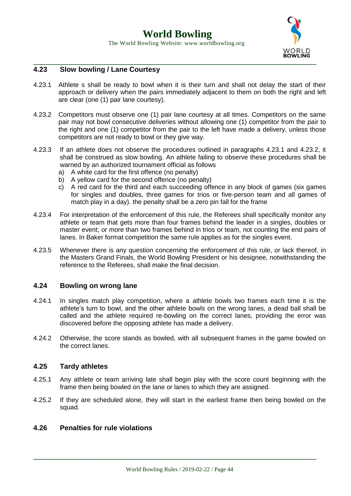

## **4.23 Slow bowling / Lane Courtesy**

- 4.23.1 Athlete s shall be ready to bowl when it is their turn and shall not delay the start of their approach or delivery when the pairs immediately adjacent to them on both the right and left are clear (one (1) pair lane courtesy).
- 4.23.2 Competitors must observe one (1) pair lane courtesy at all times. Competitors on the same pair may not bowl consecutive deliveries without allowing one (1) competitor from the pair to the right and one (1) competitor from the pair to the left have made a delivery, unless those competitors are not ready to bowl or they give way.
- 4.23.3 If an athlete does not observe the procedures outlined in paragraphs 4.23.1 and 4.23.2, it shall be construed as slow bowling. An athlete failing to observe these procedures shall be warned by an authorized tournament official as follows
	- a) A white card for the first offence (no penalty)
	- b) A yellow card for the second offence (no penalty)
	- c) A red card for the third and each succeeding offence in any block of games (six games for singles and doubles, three games for trios or five-person team and all games of match play in a day). the penalty shall be a zero pin fall for the frame
- 4.23.4 For interpretation of the enforcement of this rule, the Referees shall specifically monitor any athlete or team that gets more than four frames behind the leader in a singles, doubles or master event; or more than two frames behind in trios or team, not counting the end pairs of lanes. In Baker format competition the same rule applies as for the singles event.
- 4.23.5 Whenever there is any question concerning the enforcement of this rule, or lack thereof, in the Masters Grand Finals, the World Bowling President or his designee, notwithstanding the reference to the Referees, shall make the final decision.

#### **4.24 Bowling on wrong lane**

- 4.24.1 In singles match play competition, where a athlete bowls two frames each time it is the athlete's turn to bowl, and the other athlete bowls on the wrong lanes, a dead ball shall be called and the athlete required re-bowling on the correct lanes, providing the error was discovered before the opposing athlete has made a delivery.
- 4.24.2 Otherwise, the score stands as bowled, with all subsequent frames in the game bowled on the correct lanes.

#### **4.25 Tardy athletes**

- 4.25.1 Any athlete or team arriving late shall begin play with the score count beginning with the frame then being bowled on the lane or lanes to which they are assigned.
- 4.25.2 If they are scheduled alone, they will start in the earliest frame then being bowled on the squad.

### **4.26 Penalties for rule violations**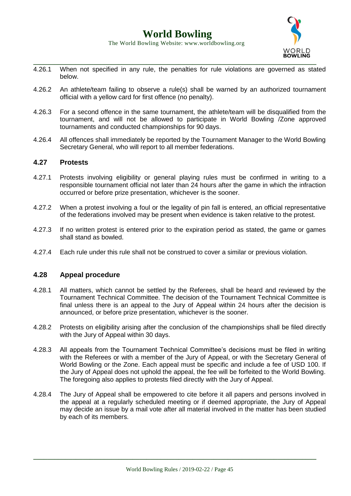

- 4.26.1 When not specified in any rule, the penalties for rule violations are governed as stated below.
- 4.26.2 An athlete/team failing to observe a rule(s) shall be warned by an authorized tournament official with a yellow card for first offence (no penalty).
- 4.26.3 For a second offence in the same tournament, the athlete/team will be disqualified from the tournament, and will not be allowed to participate in World Bowling /Zone approved tournaments and conducted championships for 90 days.
- 4.26.4 All offences shall immediately be reported by the Tournament Manager to the World Bowling Secretary General, who will report to all member federations.

#### **4.27 Protests**

- 4.27.1 Protests involving eligibility or general playing rules must be confirmed in writing to a responsible tournament official not later than 24 hours after the game in which the infraction occurred or before prize presentation, whichever is the sooner.
- 4.27.2 When a protest involving a foul or the legality of pin fall is entered, an official representative of the federations involved may be present when evidence is taken relative to the protest.
- 4.27.3 If no written protest is entered prior to the expiration period as stated, the game or games shall stand as bowled.
- 4.27.4 Each rule under this rule shall not be construed to cover a similar or previous violation.

#### **4.28 Appeal procedure**

- 4.28.1 All matters, which cannot be settled by the Referees, shall be heard and reviewed by the Tournament Technical Committee. The decision of the Tournament Technical Committee is final unless there is an appeal to the Jury of Appeal within 24 hours after the decision is announced, or before prize presentation, whichever is the sooner.
- 4.28.2 Protests on eligibility arising after the conclusion of the championships shall be filed directly with the Jury of Appeal within 30 days.
- 4.28.3 All appeals from the Tournament Technical Committee's decisions must be filed in writing with the Referees or with a member of the Jury of Appeal, or with the Secretary General of World Bowling or the Zone. Each appeal must be specific and include a fee of USD 100. If the Jury of Appeal does not uphold the appeal, the fee will be forfeited to the World Bowling. The foregoing also applies to protests filed directly with the Jury of Appeal.
- 4.28.4 The Jury of Appeal shall be empowered to cite before it all papers and persons involved in the appeal at a regularly scheduled meeting or if deemed appropriate, the Jury of Appeal may decide an issue by a mail vote after all material involved in the matter has been studied by each of its members.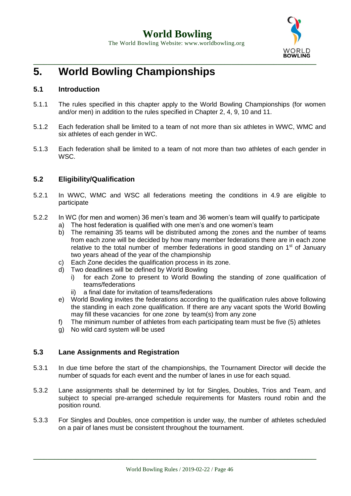

# **5. World Bowling Championships**

## **5.1 Introduction**

- 5.1.1 The rules specified in this chapter apply to the World Bowling Championships (for women and/or men) in addition to the rules specified in Chapter 2, 4, 9, 10 and 11.
- 5.1.2 Each federation shall be limited to a team of not more than six athletes in WWC, WMC and six athletes of each gender in WC.
- 5.1.3 Each federation shall be limited to a team of not more than two athletes of each gender in WSC.

## **5.2 Eligibility/Qualification**

- 5.2.1 In WWC, WMC and WSC all federations meeting the conditions in 4.9 are eligible to participate
- 5.2.2 In WC (for men and women) 36 men's team and 36 women's team will qualify to participate
	- a) The host federation is qualified with one men's and one women's team
	- b) The remaining 35 teams will be distributed among the zones and the number of teams from each zone will be decided by how many member federations there are in each zone relative to the total number of member federations in good standing on  $1<sup>st</sup>$  of January two years ahead of the year of the championship
	- c) Each Zone decides the qualification process in its zone.
	- d) Two deadlines will be defined by World Bowling
		- i) for each Zone to present to World Bowling the standing of zone qualification of teams/federations
		- ii) a final date for invitation of teams/federations
	- e) World Bowling invites the federations according to the qualification rules above following the standing in each zone qualification. If there are any vacant spots the World Bowling may fill these vacancies for one zone by team(s) from any zone
	- f) The minimum number of athletes from each participating team must be five (5) athletes
	- g) No wild card system will be used

#### **5.3 Lane Assignments and Registration**

- 5.3.1 In due time before the start of the championships, the Tournament Director will decide the number of squads for each event and the number of lanes in use for each squad.
- 5.3.2 Lane assignments shall be determined by lot for Singles, Doubles, Trios and Team, and subject to special pre-arranged schedule requirements for Masters round robin and the position round.
- 5.3.3 For Singles and Doubles, once competition is under way, the number of athletes scheduled on a pair of lanes must be consistent throughout the tournament.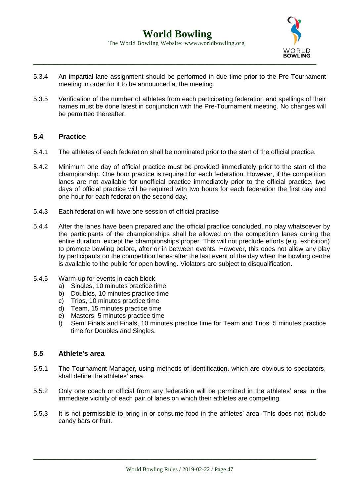

- 5.3.4 An impartial lane assignment should be performed in due time prior to the Pre-Tournament meeting in order for it to be announced at the meeting.
- 5.3.5 Verification of the number of athletes from each participating federation and spellings of their names must be done latest in conjunction with the Pre-Tournament meeting. No changes will be permitted thereafter.

### **5.4 Practice**

- 5.4.1 The athletes of each federation shall be nominated prior to the start of the official practice.
- 5.4.2 Minimum one day of official practice must be provided immediately prior to the start of the championship. One hour practice is required for each federation. However, if the competition lanes are not available for unofficial practice immediately prior to the official practice, two days of official practice will be required with two hours for each federation the first day and one hour for each federation the second day.
- 5.4.3 Each federation will have one session of official practise
- 5.4.4 After the lanes have been prepared and the official practice concluded, no play whatsoever by the participants of the championships shall be allowed on the competition lanes during the entire duration, except the championships proper. This will not preclude efforts (e.g. exhibition) to promote bowling before, after or in between events. However, this does not allow any play by participants on the competition lanes after the last event of the day when the bowling centre is available to the public for open bowling. Violators are subject to disqualification.
- 5.4.5 Warm-up for events in each block
	- a) Singles, 10 minutes practice time
	- b) Doubles, 10 minutes practice time
	- c) Trios, 10 minutes practice time
	- d) Team, 15 minutes practice time
	- e) Masters, 5 minutes practice time
	- f) Semi Finals and Finals, 10 minutes practice time for Team and Trios; 5 minutes practice time for Doubles and Singles.

#### **5.5 Athlete's area**

- 5.5.1 The Tournament Manager, using methods of identification, which are obvious to spectators, shall define the athletes' area.
- 5.5.2 Only one coach or official from any federation will be permitted in the athletes' area in the immediate vicinity of each pair of lanes on which their athletes are competing.
- 5.5.3 It is not permissible to bring in or consume food in the athletes' area. This does not include candy bars or fruit.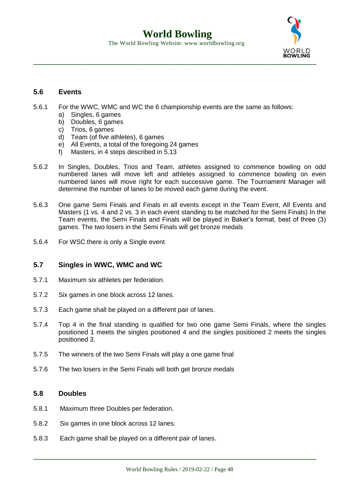

## **5.6 Events**

- 5.6.1 For the WWC, WMC and WC the 6 championship events are the same as follows:
	- a) Singles, 6 games
	- b) Doubles, 6 games
	- c) Trios, 6 games
	- d) Team (of five athletes), 6 games
	- e) All Events, a total of the foregoing 24 games
	- f) Masters, in 4 steps described in 5.13
- 5.6.2 In Singles, Doubles, Trios and Team, athletes assigned to commence bowling on odd numbered lanes will move left and athletes assigned to commence bowling on even numbered lanes will move right for each successive game. The Tournament Manager will determine the number of lanes to be moved each game during the event.
- 5.6.3 One game Semi Finals and Finals in all events except in the Team Event, All Events and Masters (1 vs. 4 and 2 vs. 3 in each event standing to be matched for the Semi Finals) In the Team events, the Semi Finals and Finals will be played in Baker's format, best of three (3) games. The two losers in the Semi Finals will get bronze medals
- 5.6.4 For WSC there is only a Single event

## **5.7 Singles in WWC, WMC and WC**

- 5.7.1 Maximum six athletes per federation.
- 5.7.2 Six games in one block across 12 lanes.
- 5.7.3 Each game shall be played on a different pair of lanes.
- 5.7.4 Top 4 in the final standing is qualified for two one game Semi Finals, where the singles positioned 1 meets the singles positioned 4 and the singles positioned 2 meets the singles positioned 3.
- 5.7.5 The winners of the two Semi Finals will play a one game final
- 5.7.6 The two losers in the Semi Finals will both get bronze medals

#### **5.8 Doubles**

- 5.8.1 Maximum three Doubles per federation.
- 5.8.2 Six games in one block across 12 lanes.
- 5.8.3 Each game shall be played on a different pair of lanes.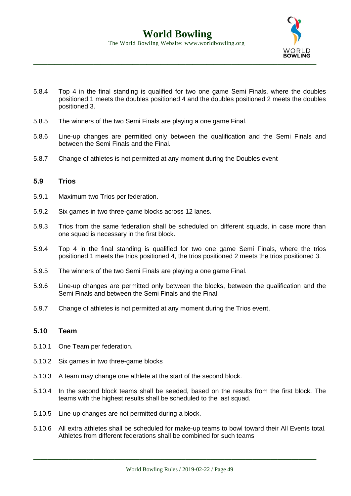

- 5.8.4 Top 4 in the final standing is qualified for two one game Semi Finals, where the doubles positioned 1 meets the doubles positioned 4 and the doubles positioned 2 meets the doubles positioned 3.
- 5.8.5 The winners of the two Semi Finals are playing a one game Final.
- 5.8.6 Line-up changes are permitted only between the qualification and the Semi Finals and between the Semi Finals and the Final.
- 5.8.7 Change of athletes is not permitted at any moment during the Doubles event

#### **5.9 Trios**

- 5.9.1 Maximum two Trios per federation.
- 5.9.2 Six games in two three-game blocks across 12 lanes.
- 5.9.3 Trios from the same federation shall be scheduled on different squads, in case more than one squad is necessary in the first block.
- 5.9.4 Top 4 in the final standing is qualified for two one game Semi Finals, where the trios positioned 1 meets the trios positioned 4, the trios positioned 2 meets the trios positioned 3.
- 5.9.5 The winners of the two Semi Finals are playing a one game Final.
- 5.9.6 Line-up changes are permitted only between the blocks, between the qualification and the Semi Finals and between the Semi Finals and the Final.
- 5.9.7 Change of athletes is not permitted at any moment during the Trios event.

#### **5.10 Team**

- 5.10.1 One Team per federation.
- 5.10.2 Six games in two three-game blocks
- 5.10.3 A team may change one athlete at the start of the second block.
- 5.10.4 In the second block teams shall be seeded, based on the results from the first block. The teams with the highest results shall be scheduled to the last squad.
- 5.10.5 Line-up changes are not permitted during a block.
- 5.10.6 All extra athletes shall be scheduled for make-up teams to bowl toward their All Events total. Athletes from different federations shall be combined for such teams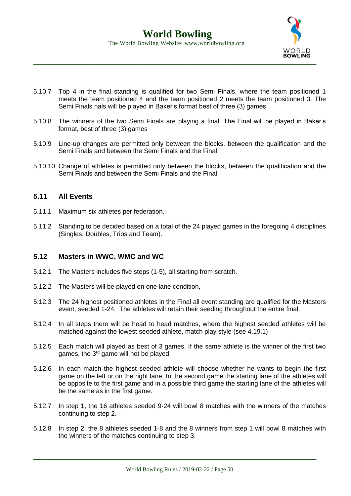

- 5.10.7 Top 4 in the final standing is qualified for two Semi Finals, where the team positioned 1 meets the team positioned 4 and the team positioned 2 meets the team positioned 3. The Semi Finals nals will be played in Baker's format best of three (3) games
- 5.10.8 The winners of the two Semi Finals are playing a final. The Final will be played in Baker's format, best of three (3) games
- 5.10.9 Line-up changes are permitted only between the blocks, between the qualification and the Semi Finals and between the Semi Finals and the Final.
- 5.10.10 Change of athletes is permitted only between the blocks, between the qualification and the Semi Finals and between the Semi Finals and the Final.

### **5.11 All Events**

- 5.11.1 Maximum six athletes per federation.
- 5.11.2 Standing to be decided based on a total of the 24 played games in the foregoing 4 disciplines (Singles, Doubles, Trios and Team).

#### **5.12 Masters in WWC, WMC and WC**

- 5.12.1 The Masters includes five steps (1-5), all starting from scratch.
- 5.12.2 The Masters will be played on one lane condition,
- 5.12.3 The 24 highest positioned athletes in the Final all event standing are qualified for the Masters event, seeded 1-24. The athletes will retain their seeding throughout the entire final.
- 5.12.4 In all steps there will be head to head matches, where the highest seeded athletes will be matched against the lowest seeded athlete, match play style (see 4.19.1)
- 5.12.5 Each match will played as best of 3 games. If the same athlete is the winner of the first two games, the 3<sup>rd</sup> game will not be played.
- 5.12.6 In each match the highest seeded athlete will choose whether he wants to begin the first game on the left or on the right lane. In the second game the starting lane of the athletes will be opposite to the first game and in a possible third game the starting lane of the athletes will be the same as in the first game.
- 5.12.7 In step 1, the 16 athletes seeded 9-24 will bowl 8 matches with the winners of the matches continuing to step 2.
- 5.12.8 In step 2, the 8 athletes seeded 1-8 and the 8 winners from step 1 will bowl 8 matches with the winners of the matches continuing to step 3.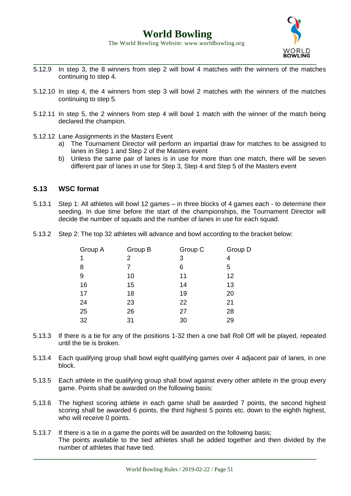

- **\_\_\_\_\_\_\_\_\_\_\_\_\_\_\_\_\_\_\_\_\_\_\_\_\_\_\_\_\_\_\_\_\_\_\_\_\_\_\_\_\_\_\_\_\_\_\_\_\_\_\_\_\_\_\_\_\_\_\_\_\_\_\_\_\_\_\_\_\_\_\_\_\_\_\_\_\_\_\_\_** 5.12.9 In step 3, the 8 winners from step 2 will bowl 4 matches with the winners of the matches continuing to step 4.
- 5.12.10 In step 4, the 4 winners from step 3 will bowl 2 matches with the winners of the matches continuing to step 5.
- 5.12.11 In step 5, the 2 winners from step 4 will bowl 1 match with the winner of the match being declared the champion.
- 5.12.12 Lane Assignments in the Masters Event
	- a) The Tournament Director will perform an impartial draw for matches to be assigned to lanes in Step 1 and Step 2 of the Masters event
	- b) Unless the same pair of lanes is in use for more than one match, there will be seven different pair of lanes in use for Step 3, Step 4 and Step 5 of the Masters event

### **5.13 WSC format**

- 5.13.1 Step 1: All athletes will bowl 12 games in three blocks of 4 games each to determine their seeding. In due time before the start of the championships, the Tournament Director will decide the number of squads and the number of lanes in use for each squad.
- 5.13.2 Step 2: The top 32 athletes will advance and bowl according to the bracket below:

| Group D |
|---------|
|         |
|         |
|         |
|         |
|         |
|         |
|         |
|         |
|         |

- 5.13.3 If there is a tie for any of the positions 1-32 then a one ball Roll Off will be played, repeated until the tie is broken.
- 5.13.4 Each qualifying group shall bowl eight qualifying games over 4 adjacent pair of lanes, in one block.
- 5.13.5 Each athlete in the qualifying group shall bowl against every other athlete in the group every game. Points shall be awarded on the following basis:
- 5.13.6 The highest scoring athlete in each game shall be awarded 7 points, the second highest scoring shall be awarded 6 points, the third highest 5 points etc. down to the eighth highest, who will receive 0 points.
- 5.13.7 If there is a tie in a game the points will be awarded on the following basis; The points available to the tied athletes shall be added together and then divided by the number of athletes that have tied.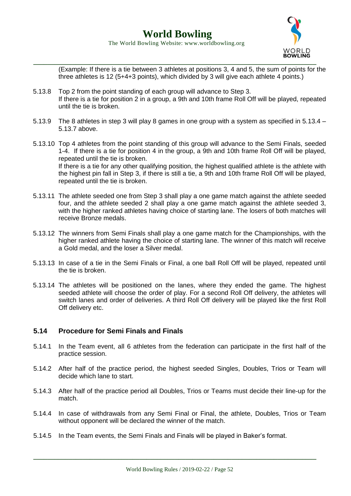The World Bowling Website: www.worldbowling.org



(Example: If there is a tie between 3 athletes at positions 3, 4 and 5, the sum of points for the three athletes is 12 (5+4+3 points), which divided by 3 will give each athlete 4 points.)

- 5.13.8 Top 2 from the point standing of each group will advance to Step 3. If there is a tie for position 2 in a group, a 9th and 10th frame Roll Off will be played, repeated until the tie is broken.
- 5.13.9 The 8 athletes in step 3 will play 8 games in one group with a system as specified in 5.13.4 5.13.7 above.
- 5.13.10 Top 4 athletes from the point standing of this group will advance to the Semi Finals, seeded 1-4. If there is a tie for position 4 in the group, a 9th and 10th frame Roll Off will be played, repeated until the tie is broken. If there is a tie for any other qualifying position, the highest qualified athlete is the athlete with the highest pin fall in Step 3, if there is still a tie, a 9th and 10th frame Roll Off will be played, repeated until the tie is broken.
- 5.13.11 The athlete seeded one from Step 3 shall play a one game match against the athlete seeded four, and the athlete seeded 2 shall play a one game match against the athlete seeded 3, with the higher ranked athletes having choice of starting lane. The losers of both matches will receive Bronze medals.
- 5.13.12 The winners from Semi Finals shall play a one game match for the Championships, with the higher ranked athlete having the choice of starting lane. The winner of this match will receive a Gold medal, and the loser a Silver medal.
- 5.13.13 In case of a tie in the Semi Finals or Final, a one ball Roll Off will be played, repeated until the tie is broken.
- 5.13.14 The athletes will be positioned on the lanes, where they ended the game. The highest seeded athlete will choose the order of play. For a second Roll Off delivery, the athletes will switch lanes and order of deliveries. A third Roll Off delivery will be played like the first Roll Off delivery etc.

#### **5.14 Procedure for Semi Finals and Finals**

- 5.14.1 In the Team event, all 6 athletes from the federation can participate in the first half of the practice session.
- 5.14.2 After half of the practice period, the highest seeded Singles, Doubles, Trios or Team will decide which lane to start.
- 5.14.3 After half of the practice period all Doubles, Trios or Teams must decide their line-up for the match.
- 5.14.4 In case of withdrawals from any Semi Final or Final, the athlete, Doubles, Trios or Team without opponent will be declared the winner of the match.
- 5.14.5 In the Team events, the Semi Finals and Finals will be played in Baker's format.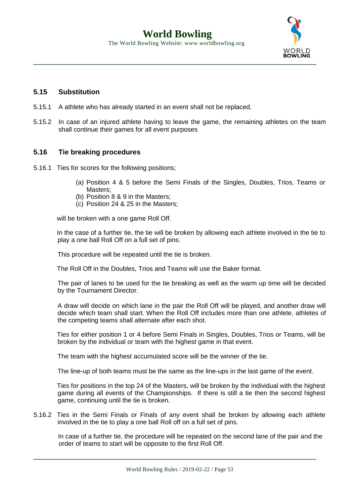**World Bowling** The World Bowling Website: www.worldbowling.org



## **5.15 Substitution**

- 5.15.1 A athlete who has already started in an event shall not be replaced.
- 5.15.2 In case of an injured athlete having to leave the game, the remaining athletes on the team shall continue their games for all event purposes

## **5.16 Tie breaking procedures**

- 5.16.1 Ties for scores for the following positions;
	- (a) Position 4 & 5 before the Semi Finals of the Singles, Doubles, Trios, Teams or Masters;
	- (b) Position 8 & 9 in the Masters;
	- (c) Position 24 & 25 in the Masters;

will be broken with a one game Roll Off.

In the case of a further tie, the tie will be broken by allowing each athlete involved in the tie to play a one ball Roll Off on a full set of pins.

This procedure will be repeated until the tie is broken.

The Roll Off in the Doubles, Trios and Teams will use the Baker format.

The pair of lanes to be used for the tie breaking as well as the warm up time will be decided by the Tournament Director.

A draw will decide on which lane in the pair the Roll Off will be played, and another draw will decide which team shall start. When the Roll Off includes more than one athlete, athletes of the competing teams shall alternate after each shot.

Ties for either position 1 or 4 before Semi Finals in Singles, Doubles, Trios or Teams, will be broken by the individual or team with the highest game in that event.

The team with the highest accumulated score will be the winner of the tie.

The line-up of both teams must be the same as the line-ups in the last game of the event.

Ties for positions in the top 24 of the Masters, will be broken by the individual with the highest game during all events of the Championships. If there is still a tie then the second highest game, continuing until the tie is broken.

5.16.2 Ties in the Semi Finals or Finals of any event shall be broken by allowing each athlete involved in the tie to play a one ball Roll off on a full set of pins.

In case of a further tie, the procedure will be repeated on the second lane of the pair and the order of teams to start will be opposite to the first Roll Off.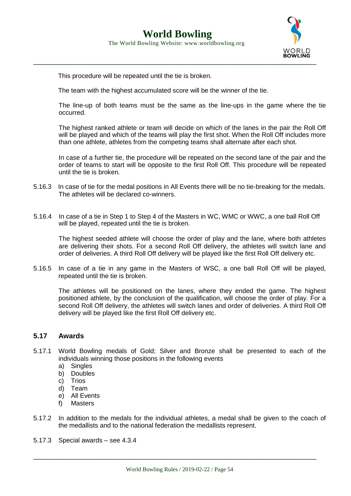

This procedure will be repeated until the tie is broken.

The team with the highest accumulated score will be the winner of the tie.

The line-up of both teams must be the same as the line-ups in the game where the tie occurred.

The highest ranked athlete or team will decide on which of the lanes in the pair the Roll Off will be played and which of the teams will play the first shot. When the Roll Off includes more than one athlete, athletes from the competing teams shall alternate after each shot.

In case of a further tie, the procedure will be repeated on the second lane of the pair and the order of teams to start will be opposite to the first Roll Off. This procedure will be repeated until the tie is broken.

- 5.16.3 In case of tie for the medal positions in All Events there will be no tie-breaking for the medals. The athletes will be declared co-winners.
- 5.16.4 In case of a tie in Step 1 to Step 4 of the Masters in WC, WMC or WWC, a one ball Roll Off will be played, repeated until the tie is broken.

The highest seeded athlete will choose the order of play and the lane, where both athletes are delivering their shots. For a second Roll Off delivery, the athletes will switch lane and order of deliveries. A third Roll Off delivery will be played like the first Roll Off delivery etc.

5.16.5 In case of a tie in any game in the Masters of WSC, a one ball Roll Off will be played, repeated until the tie is broken.

The athletes will be positioned on the lanes, where they ended the game. The highest positioned athlete, by the conclusion of the qualification, will choose the order of play. For a second Roll Off delivery, the athletes will switch lanes and order of deliveries. A third Roll Off delivery will be played like the first Roll Off delivery etc.

#### **5.17 Awards**

- 5.17.1 World Bowling medals of Gold; Silver and Bronze shall be presented to each of the individuals winning those positions in the following events
	- a) Singles
	- b) Doubles
	- c) Trios
	- d) Team
	- e) All Events
	- f) Masters
- 5.17.2 In addition to the medals for the individual athletes, a medal shall be given to the coach of the medallists and to the national federation the medallists represent.
- 5.17.3 Special awards see 4.3.4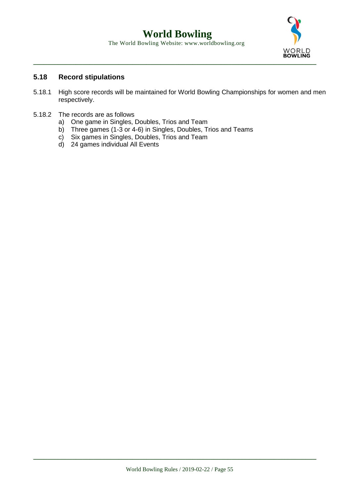

## **5.18 Record stipulations**

- 5.18.1 High score records will be maintained for World Bowling Championships for women and men respectively.
- 5.18.2 The records are as follows
	- a) One game in Singles, Doubles, Trios and Team
	- b) Three games (1-3 or 4-6) in Singles, Doubles, Trios and Teams
	- c) Six games in Singles, Doubles, Trios and Team
	- d) 24 games individual All Events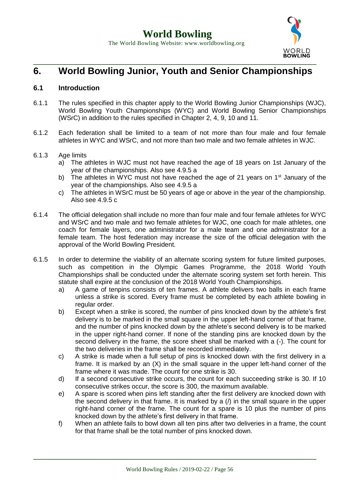

## **6. World Bowling Junior, Youth and Senior Championships**

## **6.1 Introduction**

- 6.1.1 The rules specified in this chapter apply to the World Bowling Junior Championships (WJC), World Bowling Youth Championships (WYC) and World Bowling Senior Championships (WSrC) in addition to the rules specified in Chapter 2, 4, 9, 10 and 11.
- 6.1.2 Each federation shall be limited to a team of not more than four male and four female athletes in WYC and WSrC, and not more than two male and two female athletes in WJC.
- 6.1.3 Age limits
	- a) The athletes in WJC must not have reached the age of 18 years on 1st January of the year of the championships. Also see 4.9.5 a
	- b) The athletes in WYC must not have reached the age of 21 years on  $1<sup>st</sup>$  January of the year of the championships. Also see 4.9.5 a
	- c) The athletes in WSrC must be 50 years of age or above in the year of the championship. Also see 4.9.5 c
- 6.1.4 The official delegation shall include no more than four male and four female athletes for WYC and WSrC and two male and two female athletes for WJC, one coach for male athletes, one coach for female layers, one administrator for a male team and one administrator for a female team. The host federation may increase the size of the official delegation with the approval of the World Bowling President.
- 6.1.5 In order to determine the viability of an alternate scoring system for future limited purposes, such as competition in the Olympic Games Programme, the 2018 World Youth Championships shall be conducted under the alternate scoring system set forth herein. This statute shall expire at the conclusion of the 2018 World Youth Championships.
	- a) A game of tenpins consists of ten frames. A athlete delivers two balls in each frame unless a strike is scored. Every frame must be completed by each athlete bowling in regular order.
	- b) Except when a strike is scored, the number of pins knocked down by the athlete's first delivery is to be marked in the small square in the upper left-hand corner of that frame, and the number of pins knocked down by the athlete's second delivery is to be marked in the upper right-hand corner. If none of the standing pins are knocked down by the second delivery in the frame, the score sheet shall be marked with a (-). The count for the two deliveries in the frame shall be recorded immediately.
	- c) A strike is made when a full setup of pins is knocked down with the first delivery in a frame. It is marked by an (X) in the small square in the upper left-hand corner of the frame where it was made. The count for one strike is 30.
	- d) If a second consecutive strike occurs, the count for each succeeding strike is 30. If 10 consecutive strikes occur, the score is 300, the maximum available.
	- e) A spare is scored when pins left standing after the first delivery are knocked down with the second delivery in that frame. It is marked by a (/) in the small square in the upper right-hand corner of the frame. The count for a spare is 10 plus the number of pins knocked down by the athlete's first delivery in that frame.
	- f) When an athlete fails to bowl down all ten pins after two deliveries in a frame, the count for that frame shall be the total number of pins knocked down.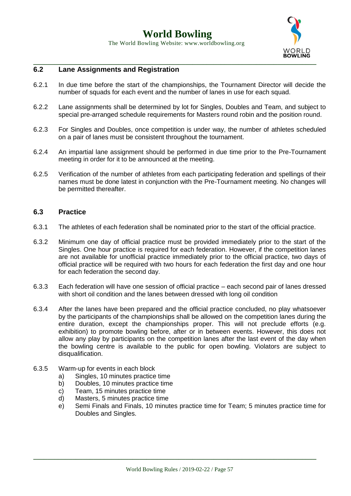

The World Bowling Website: www.worldbowling.org



## **6.2 Lane Assignments and Registration**

- 6.2.1 In due time before the start of the championships, the Tournament Director will decide the number of squads for each event and the number of lanes in use for each squad.
- 6.2.2 Lane assignments shall be determined by lot for Singles, Doubles and Team, and subject to special pre-arranged schedule requirements for Masters round robin and the position round.
- 6.2.3 For Singles and Doubles, once competition is under way, the number of athletes scheduled on a pair of lanes must be consistent throughout the tournament.
- 6.2.4 An impartial lane assignment should be performed in due time prior to the Pre-Tournament meeting in order for it to be announced at the meeting.
- 6.2.5 Verification of the number of athletes from each participating federation and spellings of their names must be done latest in conjunction with the Pre-Tournament meeting. No changes will be permitted thereafter.

#### **6.3 Practice**

- 6.3.1 The athletes of each federation shall be nominated prior to the start of the official practice.
- 6.3.2 Minimum one day of official practice must be provided immediately prior to the start of the Singles. One hour practice is required for each federation. However, if the competition lanes are not available for unofficial practice immediately prior to the official practice, two days of official practice will be required with two hours for each federation the first day and one hour for each federation the second day.
- 6.3.3 Each federation will have one session of official practice each second pair of lanes dressed with short oil condition and the lanes between dressed with long oil condition
- 6.3.4 After the lanes have been prepared and the official practice concluded, no play whatsoever by the participants of the championships shall be allowed on the competition lanes during the entire duration, except the championships proper. This will not preclude efforts (e.g. exhibition) to promote bowling before, after or in between events. However, this does not allow any play by participants on the competition lanes after the last event of the day when the bowling centre is available to the public for open bowling. Violators are subject to disqualification.
- 6.3.5 Warm-up for events in each block
	- a) Singles, 10 minutes practice time
	- b) Doubles, 10 minutes practice time
	- c) Team, 15 minutes practice time
	- d) Masters, 5 minutes practice time
	- e) Semi Finals and Finals, 10 minutes practice time for Team; 5 minutes practice time for Doubles and Singles.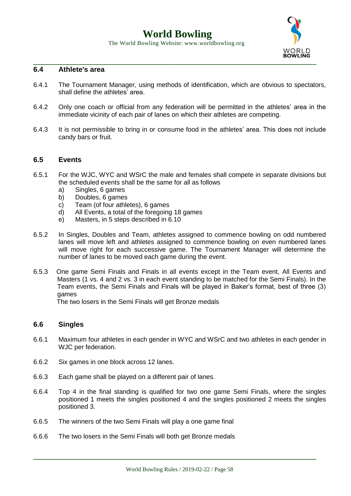## **World Bowling**

The World Bowling Website: www.worldbowling.org



### **6.4 Athlete's area**

- 6.4.1 The Tournament Manager, using methods of identification, which are obvious to spectators, shall define the athletes' area.
- 6.4.2 Only one coach or official from any federation will be permitted in the athletes' area in the immediate vicinity of each pair of lanes on which their athletes are competing.
- 6.4.3 It is not permissible to bring in or consume food in the athletes' area. This does not include candy bars or fruit.

#### **6.5 Events**

- 6.5.1 For the WJC, WYC and WSrC the male and females shall compete in separate divisions but the scheduled events shall be the same for all as follows
	- a) Singles, 6 games
	- b) Doubles, 6 games
	- c) Team (of four athletes), 6 games
	- d) All Events, a total of the foregoing 18 games
	- e) Masters, in 5 steps described in 6.10
- 6.5.2 In Singles, Doubles and Team, athletes assigned to commence bowling on odd numbered lanes will move left and athletes assigned to commence bowling on even numbered lanes will move right for each successive game. The Tournament Manager will determine the number of lanes to be moved each game during the event.
- 6.5.3 One game Semi Finals and Finals in all events except in the Team event, All Events and Masters (1 vs. 4 and 2 vs. 3 in each event standing to be matched for the Semi Finals). In the Team events, the Semi Finals and Finals will be played in Baker's format, best of three (3) games

The two losers in the Semi Finals will get Bronze medals

#### **6.6 Singles**

- 6.6.1 Maximum four athletes in each gender in WYC and WSrC and two athletes in each gender in WJC per federation.
- 6.6.2 Six games in one block across 12 lanes.
- 6.6.3 Each game shall be played on a different pair of lanes.
- 6.6.4 Top 4 in the final standing is qualified for two one game Semi Finals, where the singles positioned 1 meets the singles positioned 4 and the singles positioned 2 meets the singles positioned 3.
- 6.6.5 The winners of the two Semi Finals will play a one game final
- 6.6.6 The two losers in the Semi Finals will both get Bronze medals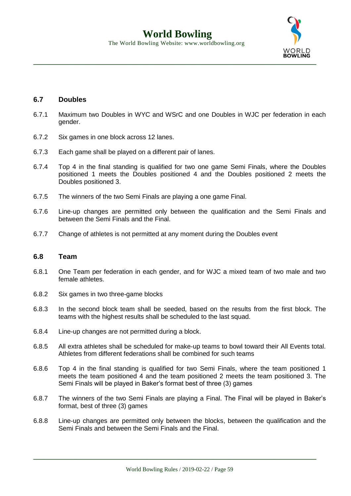

### **6.7 Doubles**

- 6.7.1 Maximum two Doubles in WYC and WSrC and one Doubles in WJC per federation in each gender.
- 6.7.2 Six games in one block across 12 lanes.
- 6.7.3 Each game shall be played on a different pair of lanes.
- 6.7.4 Top 4 in the final standing is qualified for two one game Semi Finals, where the Doubles positioned 1 meets the Doubles positioned 4 and the Doubles positioned 2 meets the Doubles positioned 3.
- 6.7.5 The winners of the two Semi Finals are playing a one game Final.
- 6.7.6 Line-up changes are permitted only between the qualification and the Semi Finals and between the Semi Finals and the Final.
- 6.7.7 Change of athletes is not permitted at any moment during the Doubles event

#### **6.8 Team**

- 6.8.1 One Team per federation in each gender, and for WJC a mixed team of two male and two female athletes.
- 6.8.2 Six games in two three-game blocks
- 6.8.3 In the second block team shall be seeded, based on the results from the first block. The teams with the highest results shall be scheduled to the last squad.
- 6.8.4 Line-up changes are not permitted during a block.
- 6.8.5 All extra athletes shall be scheduled for make-up teams to bowl toward their All Events total. Athletes from different federations shall be combined for such teams
- 6.8.6 Top 4 in the final standing is qualified for two Semi Finals, where the team positioned 1 meets the team positioned 4 and the team positioned 2 meets the team positioned 3. The Semi Finals will be played in Baker's format best of three (3) games
- 6.8.7 The winners of the two Semi Finals are playing a Final. The Final will be played in Baker's format, best of three (3) games
- 6.8.8 Line-up changes are permitted only between the blocks, between the qualification and the Semi Finals and between the Semi Finals and the Final.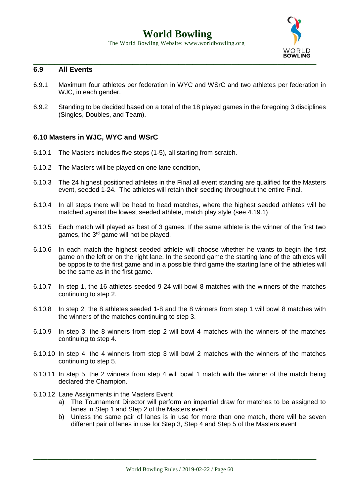## **World Bowling**

The World Bowling Website: www.worldbowling.org



#### **6.9 All Events**

- 6.9.1 Maximum four athletes per federation in WYC and WSrC and two athletes per federation in WJC, in each gender.
- 6.9.2 Standing to be decided based on a total of the 18 played games in the foregoing 3 disciplines (Singles, Doubles, and Team).

### **6.10 Masters in WJC, WYC and WSrC**

- 6.10.1 The Masters includes five steps (1-5), all starting from scratch.
- 6.10.2 The Masters will be played on one lane condition,
- 6.10.3 The 24 highest positioned athletes in the Final all event standing are qualified for the Masters event, seeded 1-24. The athletes will retain their seeding throughout the entire Final.
- 6.10.4 In all steps there will be head to head matches, where the highest seeded athletes will be matched against the lowest seeded athlete, match play style (see 4.19.1)
- 6.10.5 Each match will played as best of 3 games. If the same athlete is the winner of the first two games, the 3<sup>rd</sup> game will not be played.
- 6.10.6 In each match the highest seeded athlete will choose whether he wants to begin the first game on the left or on the right lane. In the second game the starting lane of the athletes will be opposite to the first game and in a possible third game the starting lane of the athletes will be the same as in the first game.
- 6.10.7 In step 1, the 16 athletes seeded 9-24 will bowl 8 matches with the winners of the matches continuing to step 2.
- 6.10.8 In step 2, the 8 athletes seeded 1-8 and the 8 winners from step 1 will bowl 8 matches with the winners of the matches continuing to step 3.
- 6.10.9 In step 3, the 8 winners from step 2 will bowl 4 matches with the winners of the matches continuing to step 4.
- 6.10.10 In step 4, the 4 winners from step 3 will bowl 2 matches with the winners of the matches continuing to step 5.
- 6.10.11 In step 5, the 2 winners from step 4 will bowl 1 match with the winner of the match being declared the Champion.
- 6.10.12 Lane Assignments in the Masters Event
	- a) The Tournament Director will perform an impartial draw for matches to be assigned to lanes in Step 1 and Step 2 of the Masters event
	- b) Unless the same pair of lanes is in use for more than one match, there will be seven different pair of lanes in use for Step 3, Step 4 and Step 5 of the Masters event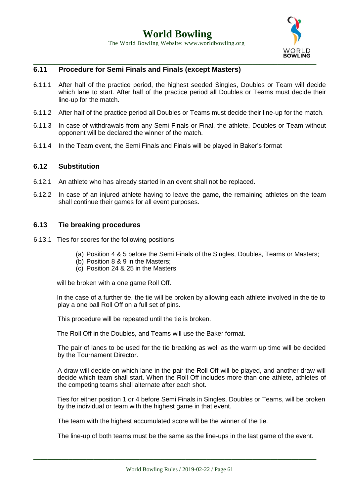**WORLD**<br>**BOWLING** 

#### **\_\_\_\_\_\_\_\_\_\_\_\_\_\_\_\_\_\_\_\_\_\_\_\_\_\_\_\_\_\_\_\_\_\_\_\_\_\_\_\_\_\_\_\_\_\_\_\_\_\_\_\_\_\_\_\_\_\_\_\_\_\_\_\_\_\_\_\_\_\_\_\_\_\_\_\_\_\_\_\_ 6.11 Procedure for Semi Finals and Finals (except Masters)**

- 6.11.1 After half of the practice period, the highest seeded Singles, Doubles or Team will decide which lane to start. After half of the practice period all Doubles or Teams must decide their line-up for the match.
- 6.11.2 After half of the practice period all Doubles or Teams must decide their line-up for the match.
- 6.11.3 In case of withdrawals from any Semi Finals or Final, the athlete, Doubles or Team without opponent will be declared the winner of the match.
- 6.11.4 In the Team event, the Semi Finals and Finals will be played in Baker's format

#### **6.12 Substitution**

- 6.12.1 An athlete who has already started in an event shall not be replaced.
- 6.12.2 In case of an injured athlete having to leave the game, the remaining athletes on the team shall continue their games for all event purposes.

### **6.13 Tie breaking procedures**

- 6.13.1 Ties for scores for the following positions;
	- (a) Position 4 & 5 before the Semi Finals of the Singles, Doubles, Teams or Masters;
	- (b) Position 8 & 9 in the Masters;
	- (c) Position 24 & 25 in the Masters;

will be broken with a one game Roll Off.

In the case of a further tie, the tie will be broken by allowing each athlete involved in the tie to play a one ball Roll Off on a full set of pins.

This procedure will be repeated until the tie is broken.

The Roll Off in the Doubles, and Teams will use the Baker format.

The pair of lanes to be used for the tie breaking as well as the warm up time will be decided by the Tournament Director.

A draw will decide on which lane in the pair the Roll Off will be played, and another draw will decide which team shall start. When the Roll Off includes more than one athlete, athletes of the competing teams shall alternate after each shot.

Ties for either position 1 or 4 before Semi Finals in Singles, Doubles or Teams, will be broken by the individual or team with the highest game in that event.

The team with the highest accumulated score will be the winner of the tie.

The line-up of both teams must be the same as the line-ups in the last game of the event.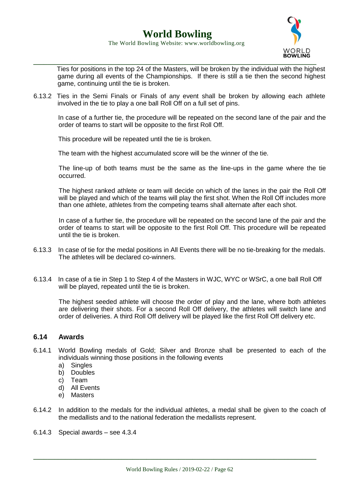

Ties for positions in the top 24 of the Masters, will be broken by the individual with the highest game during all events of the Championships. If there is still a tie then the second highest game, continuing until the tie is broken.

6.13.2 Ties in the Semi Finals or Finals of any event shall be broken by allowing each athlete involved in the tie to play a one ball Roll Off on a full set of pins.

In case of a further tie, the procedure will be repeated on the second lane of the pair and the order of teams to start will be opposite to the first Roll Off.

This procedure will be repeated until the tie is broken.

The team with the highest accumulated score will be the winner of the tie.

The line-up of both teams must be the same as the line-ups in the game where the tie occurred.

The highest ranked athlete or team will decide on which of the lanes in the pair the Roll Off will be played and which of the teams will play the first shot. When the Roll Off includes more than one athlete, athletes from the competing teams shall alternate after each shot.

In case of a further tie, the procedure will be repeated on the second lane of the pair and the order of teams to start will be opposite to the first Roll Off. This procedure will be repeated until the tie is broken.

- 6.13.3 In case of tie for the medal positions in All Events there will be no tie-breaking for the medals. The athletes will be declared co-winners.
- 6.13.4 In case of a tie in Step 1 to Step 4 of the Masters in WJC, WYC or WSrC, a one ball Roll Off will be played, repeated until the tie is broken.

The highest seeded athlete will choose the order of play and the lane, where both athletes are delivering their shots. For a second Roll Off delivery, the athletes will switch lane and order of deliveries. A third Roll Off delivery will be played like the first Roll Off delivery etc.

#### **6.14 Awards**

- 6.14.1 World Bowling medals of Gold; Silver and Bronze shall be presented to each of the individuals winning those positions in the following events
	- a) Singles
	- b) Doubles
	- c) Team
	- d) All Events
	- e) Masters
- 6.14.2 In addition to the medals for the individual athletes, a medal shall be given to the coach of the medallists and to the national federation the medallists represent.
- 6.14.3 Special awards see 4.3.4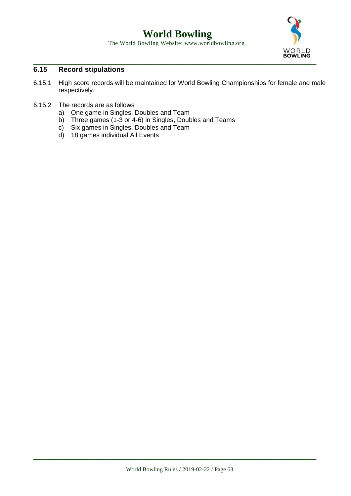## **World Bowling**

The World Bowling Website: www.worldbowling.org



## **6.15 Record stipulations**

- 6.15.1 High score records will be maintained for World Bowling Championships for female and male respectively.
- 6.15.2 The records are as follows
	- a) One game in Singles, Doubles and Team
	- b) Three games (1-3 or 4-6) in Singles, Doubles and Teams
	- c) Six games in Singles, Doubles and Team
	- d) 18 games individual All Events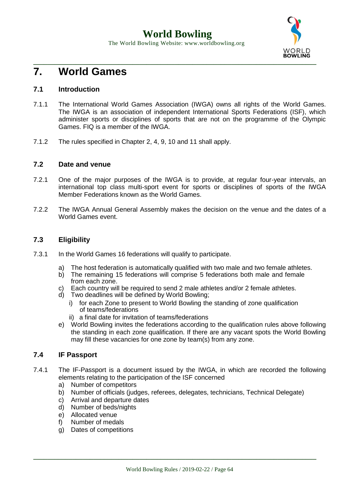

# **7. World Games**

## **7.1 Introduction**

- 7.1.1 The International World Games Association (IWGA) owns all rights of the World Games. The IWGA is an association of independent International Sports Federations (ISF), which administer sports or disciplines of sports that are not on the programme of the Olympic Games. FIQ is a member of the IWGA.
- 7.1.2 The rules specified in Chapter 2, 4, 9, 10 and 11 shall apply.

## **7.2 Date and venue**

- 7.2.1 One of the major purposes of the IWGA is to provide, at regular four-year intervals, an international top class multi-sport event for sports or disciplines of sports of the IWGA Member Federations known as the World Games.
- 7.2.2 The IWGA Annual General Assembly makes the decision on the venue and the dates of a World Games event.

## **7.3 Eligibility**

- 7.3.1 In the World Games 16 federations will qualify to participate.
	- a) The host federation is automatically qualified with two male and two female athletes.
	- b) The remaining 15 federations will comprise 5 federations both male and female from each zone.
	- c) Each country will be required to send 2 male athletes and/or 2 female athletes.
	- d) Two deadlines will be defined by World Bowling;
		- i) for each Zone to present to World Bowling the standing of zone qualification of teams/federations
		- ii) a final date for invitation of teams/federations
	- e) World Bowling invites the federations according to the qualification rules above following the standing in each zone qualification. If there are any vacant spots the World Bowling may fill these vacancies for one zone by team(s) from any zone.

## **7.4 IF Passport**

- 7.4.1 The IF-Passport is a document issued by the IWGA, in which are recorded the following elements relating to the participation of the ISF concerned
	- a) Number of competitors
	- b) Number of officials (judges, referees, delegates, technicians, Technical Delegate)
	- c) Arrival and departure dates
	- d) Number of beds/nights
	- e) Allocated venue
	- f) Number of medals
	- g) Dates of competitions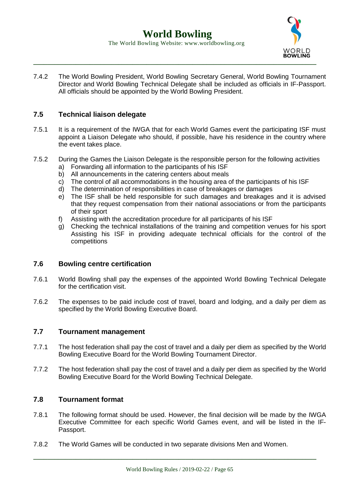

7.4.2 The World Bowling President, World Bowling Secretary General, World Bowling Tournament Director and World Bowling Technical Delegate shall be included as officials in IF-Passport. All officials should be appointed by the World Bowling President.

## **7.5 Technical liaison delegate**

- 7.5.1 It is a requirement of the IWGA that for each World Games event the participating ISF must appoint a Liaison Delegate who should, if possible, have his residence in the country where the event takes place.
- 7.5.2 During the Games the Liaison Delegate is the responsible person for the following activities
	- a) Forwarding all information to the participants of his ISF
	- b) All announcements in the catering centers about meals
	- c) The control of all accommodations in the housing area of the participants of his ISF
	- d) The determination of responsibilities in case of breakages or damages
	- e) The ISF shall be held responsible for such damages and breakages and it is advised that they request compensation from their national associations or from the participants of their sport
	- f) Assisting with the accreditation procedure for all participants of his ISF
	- g) Checking the technical installations of the training and competition venues for his sport Assisting his ISF in providing adequate technical officials for the control of the competitions

#### **7.6 Bowling centre certification**

- 7.6.1 World Bowling shall pay the expenses of the appointed World Bowling Technical Delegate for the certification visit.
- 7.6.2 The expenses to be paid include cost of travel, board and lodging, and a daily per diem as specified by the World Bowling Executive Board.

## **7.7 Tournament management**

- 7.7.1 The host federation shall pay the cost of travel and a daily per diem as specified by the World Bowling Executive Board for the World Bowling Tournament Director.
- 7.7.2 The host federation shall pay the cost of travel and a daily per diem as specified by the World Bowling Executive Board for the World Bowling Technical Delegate.

#### **7.8 Tournament format**

- 7.8.1 The following format should be used. However, the final decision will be made by the IWGA Executive Committee for each specific World Games event, and will be listed in the IF-Passport.
- 7.8.2 The World Games will be conducted in two separate divisions Men and Women.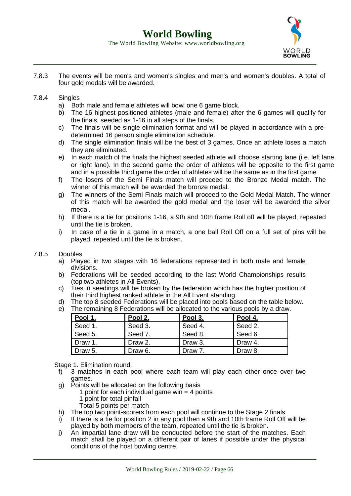

7.8.3 The events will be men's and women's singles and men's and women's doubles. A total of four gold medals will be awarded.

#### 7.8.4 Singles

- a) Both male and female athletes will bowl one 6 game block.
- b) The 16 highest positioned athletes (male and female) after the 6 games will qualify for the finals, seeded as 1-16 in all steps of the finals.
- c) The finals will be single elimination format and will be played in accordance with a predetermined 16 person single elimination schedule.
- d) The single elimination finals will be the best of 3 games. Once an athlete loses a match they are eliminated.
- e) In each match of the finals the highest seeded athlete will choose starting lane (i.e. left lane or right lane). In the second game the order of athletes will be opposite to the first game and in a possible third game the order of athletes will be the same as in the first game
- f) The losers of the Semi Finals match will proceed to the Bronze Medal match. The winner of this match will be awarded the bronze medal.
- g) The winners of the Semi Finals match will proceed to the Gold Medal Match. The winner of this match will be awarded the gold medal and the loser will be awarded the silver medal.
- h) If there is a tie for positions 1-16, a 9th and 10th frame Roll off will be played, repeated until the tie is broken.
- i) In case of a tie in a game in a match, a one ball Roll Off on a full set of pins will be played, repeated until the tie is broken.

#### 7.8.5 Doubles

- a) Played in two stages with 16 federations represented in both male and female divisions.
- b) Federations will be seeded according to the last World Championships results (top two athletes in All Events).
- c) Ties in seedings will be broken by the federation which has the higher position of their third highest ranked athlete in the All Event standing.
- d) The top 8 seeded Federations will be placed into pools based on the table below.
- e) The remaining 8 Federations will be allocated to the various pools by a draw.

| Pool 1. | Pool 2. | Pool 3. | Pool 4. |
|---------|---------|---------|---------|
| Seed 1. | Seed 3. | Seed 4. | Seed 2. |
| Seed 5. | Seed 7. | Seed 8. | Seed 6. |
| Draw 1. | Draw 2. | Draw 3. | Draw 4. |
| Draw 5. | Draw 6. | Draw 7. | Draw 8. |

Stage 1. Elimination round.

- f) 3 matches in each pool where each team will play each other once over two games.
- g) Points will be allocated on the following basis
	- 1 point for each individual game win  $=$  4 points
	- 1 point for total pinfall
	- Total 5 points per match
- h) The top two point-scorers from each pool will continue to the Stage 2 finals.
- i) If there is a tie for position 2 in any pool then a 9th and 10th frame Roll Off will be played by both members of the team, repeated until the tie is broken.
- j) An impartial lane draw will be conducted before the start of the matches. Each match shall be played on a different pair of lanes if possible under the physical conditions of the host bowling centre.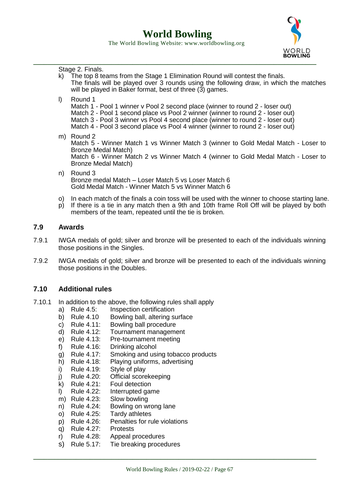**World Bowling**

The World Bowling Website: www.worldbowling.org



k) The top 8 teams from the Stage 1 Elimination Round will contest the finals. The finals will be played over 3 rounds using the following draw, in which the matches will be played in Baker format, best of three (3) games. l) Round 1 Match 1 - Pool 1 winner v Pool 2 second place (winner to round 2 - loser out) Match 2 - Pool 1 second place vs Pool 2 winner (winner to round 2 - loser out) Match 3 - Pool 3 winner vs Pool 4 second place (winner to round 2 - loser out) Match 4 - Pool 3 second place vs Pool 4 winner (winner to round 2 - loser out) m) Round 2 Match 5 - Winner Match 1 vs Winner Match 3 (winner to Gold Medal Match - Loser to Bronze Medal Match) Match 6 - Winner Match 2 vs Winner Match 4 (winner to Gold Medal Match - Loser to Bronze Medal Match) n) Round 3 Bronze medal Match – Loser Match 5 vs Loser Match 6 Gold Medal Match - Winner Match 5 vs Winner Match 6 o) In each match of the finals a coin toss will be used with the winner to choose starting lane. p) If there is a tie in any match then a 9th and 10th frame Roll Off will be played by both members of the team, repeated until the tie is broken.

## **7.9 Awards**

- 7.9.1 IWGA medals of gold; silver and bronze will be presented to each of the individuals winning those positions in the Singles.
- 7.9.2 IWGA medals of gold; silver and bronze will be presented to each of the individuals winning those positions in the Doubles.

#### **7.10 Additional rules**

Stage 2. Finals.

- 7.10.1 In addition to the above, the following rules shall apply
	- a) Rule 4.5: Inspection certification
	- b) Rule 4.10 Bowling ball, altering surface
	- c) Rule 4.11: Bowling ball procedure
	- d) Rule 4.12: Tournament management
	- e) Rule 4.13: Pre-tournament meeting
	- f) Rule 4.16: Drinking alcohol
	- g) Rule 4.17: Smoking and using tobacco products
	- h) Rule 4.18: Playing uniforms, advertising
	- i) Rule 4.19: Style of play
	- j) Rule 4.20: Official scorekeeping
	- k) Rule 4.21: Foul detection
	- l) Rule 4.22: Interrupted game
	- m) Rule 4.23: Slow bowling
	- n) Rule 4.24: Bowling on wrong lane
	- o) Rule 4.25: Tardy athletes
	- p) Rule 4.26: Penalties for rule violations
	- q) Rule 4.27: Protests
	- r) Rule 4.28: Appeal procedures
	- s) Rule 5.17: Tie breaking procedures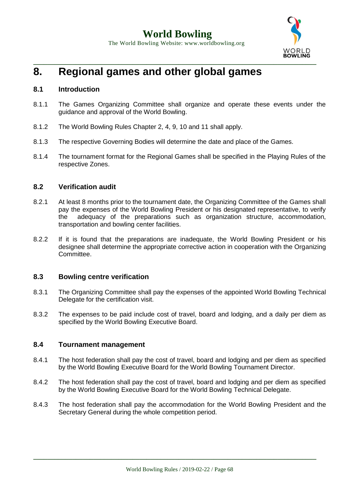

# **8. Regional games and other global games**

## **8.1 Introduction**

- 8.1.1 The Games Organizing Committee shall organize and operate these events under the guidance and approval of the World Bowling.
- 8.1.2 The World Bowling Rules Chapter 2, 4, 9, 10 and 11 shall apply.
- 8.1.3 The respective Governing Bodies will determine the date and place of the Games.
- 8.1.4 The tournament format for the Regional Games shall be specified in the Playing Rules of the respective Zones.

### **8.2 Verification audit**

- 8.2.1 At least 8 months prior to the tournament date, the Organizing Committee of the Games shall pay the expenses of the World Bowling President or his designated representative, to verify the adequacy of the preparations such as organization structure, accommodation, transportation and bowling center facilities.
- 8.2.2 If it is found that the preparations are inadequate, the World Bowling President or his designee shall determine the appropriate corrective action in cooperation with the Organizing Committee.

## **8.3 Bowling centre verification**

- 8.3.1 The Organizing Committee shall pay the expenses of the appointed World Bowling Technical Delegate for the certification visit.
- 8.3.2 The expenses to be paid include cost of travel, board and lodging, and a daily per diem as specified by the World Bowling Executive Board.

## **8.4 Tournament management**

- 8.4.1 The host federation shall pay the cost of travel, board and lodging and per diem as specified by the World Bowling Executive Board for the World Bowling Tournament Director.
- 8.4.2 The host federation shall pay the cost of travel, board and lodging and per diem as specified by the World Bowling Executive Board for the World Bowling Technical Delegate.
- 8.4.3 The host federation shall pay the accommodation for the World Bowling President and the Secretary General during the whole competition period.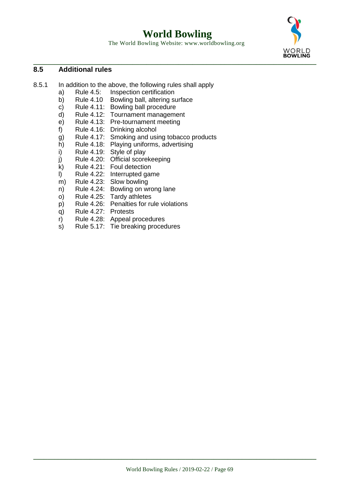**World Bowling**

The World Bowling Website: www.worldbowling.org



## **8.5 Additional rules**

- 8.5.1 In addition to the above, the following rules shall apply
	- a) Rule 4.5: Inspection certification
	- b) Rule 4.10 Bowling ball, altering surface
	- c) Rule 4.11: Bowling ball procedure
	- d) Rule 4.12: Tournament management
	- e) Rule 4.13: Pre-tournament meeting
	- f) Rule 4.16: Drinking alcohol
	- g) Rule 4.17: Smoking and using tobacco products
	- h) Rule 4.18: Playing uniforms, advertising
	- i) Rule 4.19: Style of play
	- j) Rule 4.20: Official scorekeeping
	- k) Rule 4.21: Foul detection
	- l) Rule 4.22: Interrupted game
	- m) Rule 4.23: Slow bowling
	- n) Rule 4.24: Bowling on wrong lane
	- o) Rule 4.25: Tardy athletes
	- p) Rule 4.26: Penalties for rule violations
	- q) Rule 4.27: Protests
	- r) Rule 4.28: Appeal procedures
	- s) Rule 5.17: Tie breaking procedures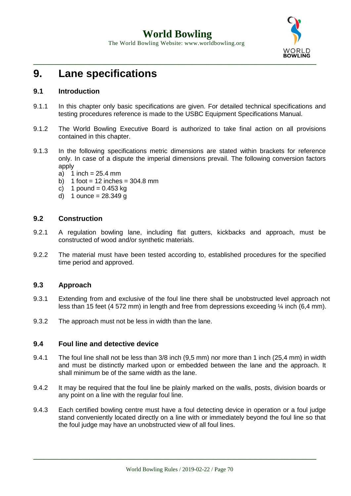

# **9. Lane specifications**

## **9.1 Introduction**

- 9.1.1 In this chapter only basic specifications are given. For detailed technical specifications and testing procedures reference is made to the USBC Equipment Specifications Manual.
- 9.1.2 The World Bowling Executive Board is authorized to take final action on all provisions contained in this chapter.
- 9.1.3 In the following specifications metric dimensions are stated within brackets for reference only. In case of a dispute the imperial dimensions prevail. The following conversion factors apply
	- a) 1 inch  $= 25.4$  mm
	- b)  $1$  foot = 12 inches = 304.8 mm
	- c) 1 pound =  $0.453$  kg
	- d) 1 ounce =  $28.349 g$

## **9.2 Construction**

- 9.2.1 A regulation bowling lane, including flat gutters, kickbacks and approach, must be constructed of wood and/or synthetic materials.
- 9.2.2 The material must have been tested according to, established procedures for the specified time period and approved.

## **9.3 Approach**

- 9.3.1 Extending from and exclusive of the foul line there shall be unobstructed level approach not less than 15 feet (4 572 mm) in length and free from depressions exceeding ¼ inch (6,4 mm).
- 9.3.2 The approach must not be less in width than the lane.

#### **9.4 Foul line and detective device**

- 9.4.1 The foul line shall not be less than 3/8 inch (9,5 mm) nor more than 1 inch (25,4 mm) in width and must be distinctly marked upon or embedded between the lane and the approach. It shall minimum be of the same width as the lane.
- 9.4.2 It may be required that the foul line be plainly marked on the walls, posts, division boards or any point on a line with the regular foul line.
- 9.4.3 Each certified bowling centre must have a foul detecting device in operation or a foul judge stand conveniently located directly on a line with or immediately beyond the foul line so that the foul judge may have an unobstructed view of all foul lines.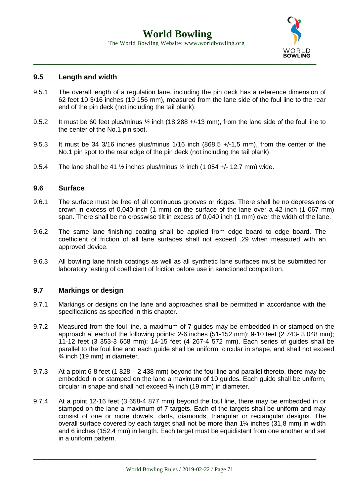

#### **9.5 Length and width**

- 9.5.1 The overall length of a regulation lane, including the pin deck has a reference dimension of 62 feet 10 3/16 inches (19 156 mm), measured from the lane side of the foul line to the rear end of the pin deck (not including the tail plank).
- 9.5.2 It must be 60 feet plus/minus ½ inch (18 288 +/-13 mm), from the lane side of the foul line to the center of the No.1 pin spot.
- 9.5.3 It must be 34 3/16 inches plus/minus 1/16 inch (868.5 +/-1,5 mm), from the center of the No.1 pin spot to the rear edge of the pin deck (not including the tail plank).
- 9.5.4 The lane shall be 41  $\frac{1}{2}$  inches plus/minus  $\frac{1}{2}$  inch (1 054 +/- 12.7 mm) wide.

#### **9.6 Surface**

- 9.6.1 The surface must be free of all continuous grooves or ridges. There shall be no depressions or crown in excess of 0,040 inch (1 mm) on the surface of the lane over a 42 inch (1 067 mm) span. There shall be no crosswise tilt in excess of 0,040 inch (1 mm) over the width of the lane.
- 9.6.2 The same lane finishing coating shall be applied from edge board to edge board. The coefficient of friction of all lane surfaces shall not exceed .29 when measured with an approved device.
- 9.6.3 All bowling lane finish coatings as well as all synthetic lane surfaces must be submitted for laboratory testing of coefficient of friction before use in sanctioned competition.

#### **9.7 Markings or design**

- 9.7.1 Markings or designs on the lane and approaches shall be permitted in accordance with the specifications as specified in this chapter.
- 9.7.2 Measured from the foul line, a maximum of 7 guides may be embedded in or stamped on the approach at each of the following points: 2-6 inches (51-152 mm); 9-10 feet (2 743- 3 048 mm); 11-12 feet (3 353-3 658 mm); 14-15 feet (4 267-4 572 mm). Each series of guides shall be parallel to the foul line and each quide shall be uniform, circular in shape, and shall not exceed ¾ inch (19 mm) in diameter.
- 9.7.3 At a point 6-8 feet (1 828 2 438 mm) beyond the foul line and parallel thereto, there may be embedded in or stamped on the lane a maximum of 10 guides. Each guide shall be uniform, circular in shape and shall not exceed ¾ inch (19 mm) in diameter.
- 9.7.4 At a point 12-16 feet (3 658-4 877 mm) beyond the foul line, there may be embedded in or stamped on the lane a maximum of 7 targets. Each of the targets shall be uniform and may consist of one or more dowels, darts, diamonds, triangular or rectangular designs. The overall surface covered by each target shall not be more than 1¼ inches (31,8 mm) in width and 6 inches (152,4 mm) in length. Each target must be equidistant from one another and set in a uniform pattern.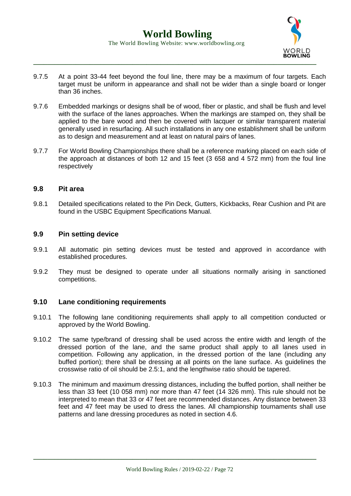

- 9.7.5 At a point 33-44 feet beyond the foul line, there may be a maximum of four targets. Each target must be uniform in appearance and shall not be wider than a single board or longer than 36 inches.
- 9.7.6 Embedded markings or designs shall be of wood, fiber or plastic, and shall be flush and level with the surface of the lanes approaches. When the markings are stamped on, they shall be applied to the bare wood and then be covered with lacquer or similar transparent material generally used in resurfacing. All such installations in any one establishment shall be uniform as to design and measurement and at least on natural pairs of lanes.
- 9.7.7 For World Bowling Championships there shall be a reference marking placed on each side of the approach at distances of both 12 and 15 feet (3 658 and 4 572 mm) from the foul line respectively

#### **9.8 Pit area**

9.8.1 Detailed specifications related to the Pin Deck, Gutters, Kickbacks, Rear Cushion and Pit are found in the USBC Equipment Specifications Manual.

#### **9.9 Pin setting device**

- 9.9.1 All automatic pin setting devices must be tested and approved in accordance with established procedures.
- 9.9.2 They must be designed to operate under all situations normally arising in sanctioned competitions.

#### **9.10 Lane conditioning requirements**

- 9.10.1 The following lane conditioning requirements shall apply to all competition conducted or approved by the World Bowling.
- 9.10.2 The same type/brand of dressing shall be used across the entire width and length of the dressed portion of the lane, and the same product shall apply to all lanes used in competition. Following any application, in the dressed portion of the lane (including any buffed portion); there shall be dressing at all points on the lane surface. As guidelines the crosswise ratio of oil should be 2.5:1, and the lengthwise ratio should be tapered.
- 9.10.3 The minimum and maximum dressing distances, including the buffed portion, shall neither be less than 33 feet (10 058 mm) nor more than 47 feet (14 326 mm). This rule should not be interpreted to mean that 33 or 47 feet are recommended distances. Any distance between 33 feet and 47 feet may be used to dress the lanes. All championship tournaments shall use patterns and lane dressing procedures as noted in section 4.6.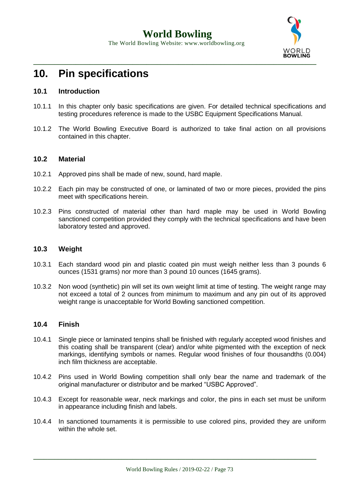

# **10. Pin specifications**

# **10.1 Introduction**

- 10.1.1 In this chapter only basic specifications are given. For detailed technical specifications and testing procedures reference is made to the USBC Equipment Specifications Manual.
- 10.1.2 The World Bowling Executive Board is authorized to take final action on all provisions contained in this chapter.

## **10.2 Material**

- 10.2.1 Approved pins shall be made of new, sound, hard maple.
- 10.2.2 Each pin may be constructed of one, or laminated of two or more pieces, provided the pins meet with specifications herein.
- 10.2.3 Pins constructed of material other than hard maple may be used in World Bowling sanctioned competition provided they comply with the technical specifications and have been laboratory tested and approved.

# **10.3 Weight**

- 10.3.1 Each standard wood pin and plastic coated pin must weigh neither less than 3 pounds 6 ounces (1531 grams) nor more than 3 pound 10 ounces (1645 grams).
- 10.3.2 Non wood (synthetic) pin will set its own weight limit at time of testing. The weight range may not exceed a total of 2 ounces from minimum to maximum and any pin out of its approved weight range is unacceptable for World Bowling sanctioned competition.

## **10.4 Finish**

- 10.4.1 Single piece or laminated tenpins shall be finished with regularly accepted wood finishes and this coating shall be transparent (clear) and/or white pigmented with the exception of neck markings, identifying symbols or names. Regular wood finishes of four thousandths (0.004) inch film thickness are acceptable.
- 10.4.2 Pins used in World Bowling competition shall only bear the name and trademark of the original manufacturer or distributor and be marked "USBC Approved".
- 10.4.3 Except for reasonable wear, neck markings and color, the pins in each set must be uniform in appearance including finish and labels.
- 10.4.4 In sanctioned tournaments it is permissible to use colored pins, provided they are uniform within the whole set.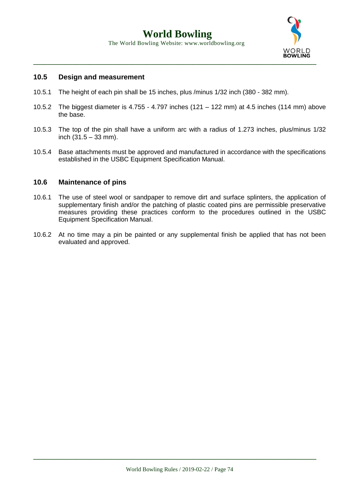

# **10.5 Design and measurement**

- 10.5.1 The height of each pin shall be 15 inches, plus /minus 1/32 inch (380 382 mm).
- 10.5.2 The biggest diameter is 4.755 4.797 inches (121 122 mm) at 4.5 inches (114 mm) above the base.
- 10.5.3 The top of the pin shall have a uniform arc with a radius of 1.273 inches, plus/minus 1/32 inch (31.5 – 33 mm).
- 10.5.4 Base attachments must be approved and manufactured in accordance with the specifications established in the USBC Equipment Specification Manual.

## **10.6 Maintenance of pins**

- 10.6.1 The use of steel wool or sandpaper to remove dirt and surface splinters, the application of supplementary finish and/or the patching of plastic coated pins are permissible preservative measures providing these practices conform to the procedures outlined in the USBC Equipment Specification Manual.
- 10.6.2 At no time may a pin be painted or any supplemental finish be applied that has not been evaluated and approved.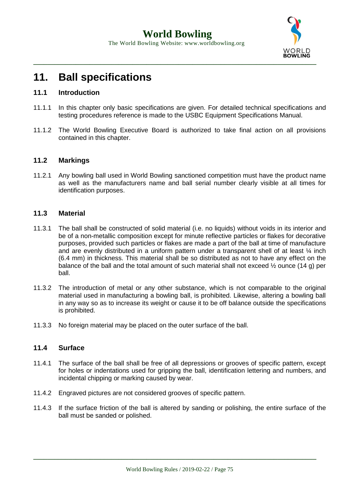

# **11. Ball specifications**

# **11.1 Introduction**

- 11.1.1 In this chapter only basic specifications are given. For detailed technical specifications and testing procedures reference is made to the USBC Equipment Specifications Manual.
- 11.1.2 The World Bowling Executive Board is authorized to take final action on all provisions contained in this chapter.

## **11.2 Markings**

11.2.1 Any bowling ball used in World Bowling sanctioned competition must have the product name as well as the manufacturers name and ball serial number clearly visible at all times for identification purposes.

## **11.3 Material**

- 11.3.1 The ball shall be constructed of solid material (i.e. no liquids) without voids in its interior and be of a non-metallic composition except for minute reflective particles or flakes for decorative purposes, provided such particles or flakes are made a part of the ball at time of manufacture and are evenly distributed in a uniform pattern under a transparent shell of at least  $\frac{1}{4}$  inch (6.4 mm) in thickness. This material shall be so distributed as not to have any effect on the balance of the ball and the total amount of such material shall not exceed ½ ounce (14 g) per ball.
- 11.3.2 The introduction of metal or any other substance, which is not comparable to the original material used in manufacturing a bowling ball, is prohibited. Likewise, altering a bowling ball in any way so as to increase its weight or cause it to be off balance outside the specifications is prohibited.
- 11.3.3 No foreign material may be placed on the outer surface of the ball.

# **11.4 Surface**

- 11.4.1 The surface of the ball shall be free of all depressions or grooves of specific pattern, except for holes or indentations used for gripping the ball, identification lettering and numbers, and incidental chipping or marking caused by wear.
- 11.4.2 Engraved pictures are not considered grooves of specific pattern.
- 11.4.3 If the surface friction of the ball is altered by sanding or polishing, the entire surface of the ball must be sanded or polished.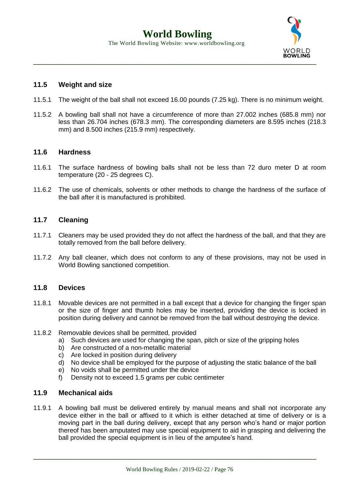

# **11.5 Weight and size**

- 11.5.1 The weight of the ball shall not exceed 16.00 pounds (7.25 kg). There is no minimum weight.
- 11.5.2 A bowling ball shall not have a circumference of more than 27.002 inches (685.8 mm) nor less than 26.704 inches (678.3 mm). The corresponding diameters are 8.595 inches (218.3 mm) and 8.500 inches (215.9 mm) respectively.

## **11.6 Hardness**

- 11.6.1 The surface hardness of bowling balls shall not be less than 72 duro meter D at room temperature (20 - 25 degrees C).
- 11.6.2 The use of chemicals, solvents or other methods to change the hardness of the surface of the ball after it is manufactured is prohibited.

# **11.7 Cleaning**

- 11.7.1 Cleaners may be used provided they do not affect the hardness of the ball, and that they are totally removed from the ball before delivery.
- 11.7.2 Any ball cleaner, which does not conform to any of these provisions, may not be used in World Bowling sanctioned competition.

# **11.8 Devices**

- 11.8.1 Movable devices are not permitted in a ball except that a device for changing the finger span or the size of finger and thumb holes may be inserted, providing the device is locked in position during delivery and cannot be removed from the ball without destroying the device.
- 11.8.2 Removable devices shall be permitted, provided
	- a) Such devices are used for changing the span, pitch or size of the gripping holes
	- b) Are constructed of a non-metallic material
	- c) Are locked in position during delivery
	- d) No device shall be employed for the purpose of adjusting the static balance of the ball
	- e) No voids shall be permitted under the device
	- f) Density not to exceed 1.5 grams per cubic centimeter

## **11.9 Mechanical aids**

11.9.1 A bowling ball must be delivered entirely by manual means and shall not incorporate any device either in the ball or affixed to it which is either detached at time of delivery or is a moving part in the ball during delivery, except that any person who's hand or major portion thereof has been amputated may use special equipment to aid in grasping and delivering the ball provided the special equipment is in lieu of the amputee's hand.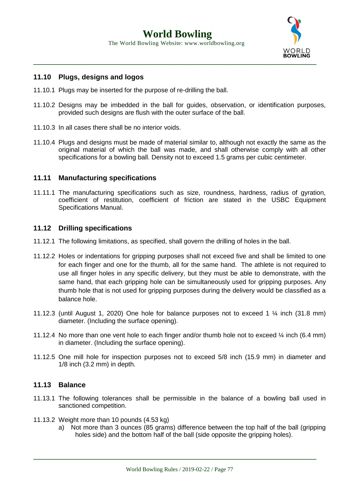

# **11.10 Plugs, designs and logos**

- 11.10.1 Plugs may be inserted for the purpose of re-drilling the ball.
- 11.10.2 Designs may be imbedded in the ball for guides, observation, or identification purposes, provided such designs are flush with the outer surface of the ball.
- 11.10.3 In all cases there shall be no interior voids.
- 11.10.4 Plugs and designs must be made of material similar to, although not exactly the same as the original material of which the ball was made, and shall otherwise comply with all other specifications for a bowling ball. Density not to exceed 1.5 grams per cubic centimeter.

# **11.11 Manufacturing specifications**

11.11.1 The manufacturing specifications such as size, roundness, hardness, radius of gyration, coefficient of restitution, coefficient of friction are stated in the USBC Equipment Specifications Manual.

## **11.12 Drilling specifications**

- 11.12.1 The following limitations, as specified, shall govern the drilling of holes in the ball.
- 11.12.2 Holes or indentations for gripping purposes shall not exceed five and shall be limited to one for each finger and one for the thumb, all for the same hand. The athlete is not required to use all finger holes in any specific delivery, but they must be able to demonstrate, with the same hand, that each gripping hole can be simultaneously used for gripping purposes. Any thumb hole that is not used for gripping purposes during the delivery would be classified as a balance hole.
- 11.12.3 (until August 1, 2020) One hole for balance purposes not to exceed 1 ¼ inch (31.8 mm) diameter. (Including the surface opening).
- 11.12.4 No more than one vent hole to each finger and/or thumb hole not to exceed ¼ inch (6.4 mm) in diameter. (Including the surface opening).
- 11.12.5 One mill hole for inspection purposes not to exceed 5/8 inch (15.9 mm) in diameter and 1/8 inch (3.2 mm) in depth.

## **11.13 Balance**

- 11.13.1 The following tolerances shall be permissible in the balance of a bowling ball used in sanctioned competition.
- 11.13.2 Weight more than 10 pounds (4.53 kg)
	- a) Not more than 3 ounces (85 grams) difference between the top half of the ball (gripping holes side) and the bottom half of the ball (side opposite the gripping holes).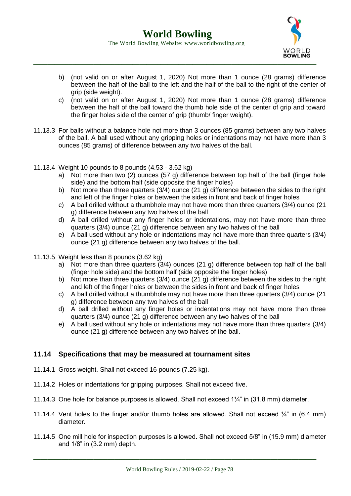

- b) (not valid on or after August 1, 2020) Not more than 1 ounce (28 grams) difference between the half of the ball to the left and the half of the ball to the right of the center of grip (side weight).
- c) (not valid on or after August 1, 2020) Not more than 1 ounce (28 grams) difference between the half of the ball toward the thumb hole side of the center of grip and toward the finger holes side of the center of grip (thumb/ finger weight).
- 11.13.3 For balls without a balance hole not more than 3 ounces (85 grams) between any two halves of the ball. A ball used without any gripping holes or indentations may not have more than 3 ounces (85 grams) of difference between any two halves of the ball.
- 11.13.4 Weight 10 pounds to 8 pounds (4.53 3.62 kg)
	- a) Not more than two (2) ounces (57 g) difference between top half of the ball (finger hole side) and the bottom half (side opposite the finger holes)
	- b) Not more than three quarters  $(3/4)$  ounce  $(21 g)$  difference between the sides to the right and left of the finger holes or between the sides in front and back of finger holes
	- c) A ball drilled without a thumbhole may not have more than three quarters (3/4) ounce (21 g) difference between any two halves of the ball
	- d) A ball drilled without any finger holes or indentations, may not have more than three quarters (3/4) ounce (21 g) difference between any two halves of the ball
	- e) A ball used without any hole or indentations may not have more than three quarters (3/4) ounce (21 g) difference between any two halves of the ball.
- 11.13.5 Weight less than 8 pounds (3.62 kg)
	- a) Not more than three quarters (3/4) ounces (21 g) difference between top half of the ball (finger hole side) and the bottom half (side opposite the finger holes)
	- b) Not more than three quarters (3/4) ounce (21 g) difference between the sides to the right and left of the finger holes or between the sides in front and back of finger holes
	- c) A ball drilled without a thumbhole may not have more than three quarters (3/4) ounce (21 g) difference between any two halves of the ball
	- d) A ball drilled without any finger holes or indentations may not have more than three quarters (3/4) ounce (21 g) difference between any two halves of the ball
	- e) A ball used without any hole or indentations may not have more than three quarters (3/4) ounce (21 g) difference between any two halves of the ball.

# **11.14 Specifications that may be measured at tournament sites**

- 11.14.1 Gross weight. Shall not exceed 16 pounds (7.25 kg).
- 11.14.2 Holes or indentations for gripping purposes. Shall not exceed five.
- 11.14.3 One hole for balance purposes is allowed. Shall not exceed 1¼" in (31.8 mm) diameter.
- 11.14.4 Vent holes to the finger and/or thumb holes are allowed. Shall not exceed ¼" in (6.4 mm) diameter.
- 11.14.5 One mill hole for inspection purposes is allowed. Shall not exceed 5/8" in (15.9 mm) diameter and 1/8" in (3.2 mm) depth.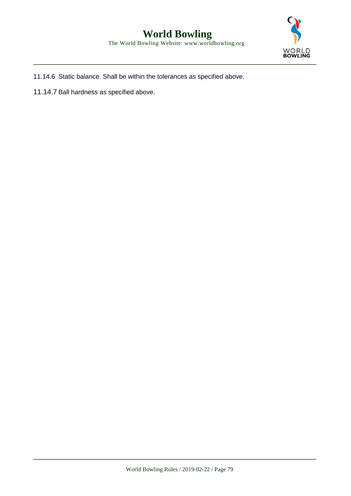

 **World Bowling** The World Bowling Website: www.worldbowling.org

11.14.6 Static balance. Shall be within the tolerances as specified above.

11.14.7 Ball hardness as specified above.